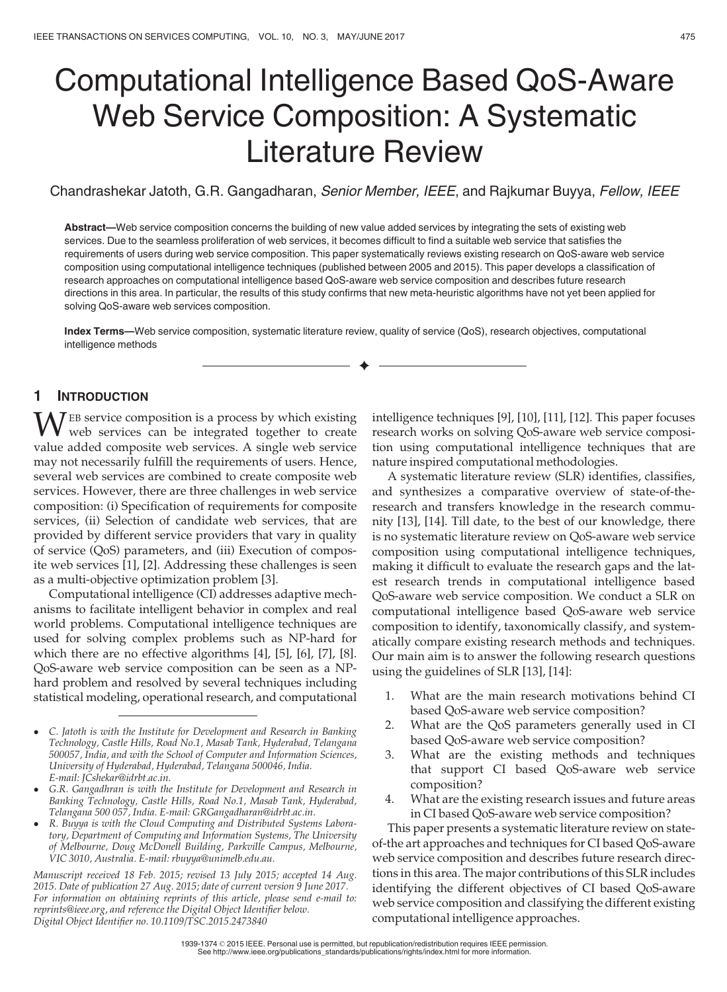# Computational Intelligence Based QoS-Aware Web Service Composition: A Systematic Literature Review

Chandrashekar Jatoth, G.R. Gangadharan, Senior Member, IEEE, and Rajkumar Buyya, Fellow, IEEE

Abstract—Web service composition concerns the building of new value added services by integrating the sets of existing web services. Due to the seamless proliferation of web services, it becomes difficult to find a suitable web service that satisfies the requirements of users during web service composition. This paper systematically reviews existing research on QoS-aware web service composition using computational intelligence techniques (published between 2005 and 2015). This paper develops a classification of research approaches on computational intelligence based QoS-aware web service composition and describes future research directions in this area. In particular, the results of this study confirms that new meta-heuristic algorithms have not yet been applied for solving QoS-aware web services composition.

Index Terms—Web service composition, systematic literature review, quality of service (QoS), research objectives, computational intelligence methods

 $\bigstar$ 

## 1 INTRODUCTION

WEB service composition is a process by which existing<br>web services can be integrated together to create<br>web services and services A single web services value added composite web services. A single web service may not necessarily fulfill the requirements of users. Hence, several web services are combined to create composite web services. However, there are three challenges in web service composition: (i) Specification of requirements for composite services, (ii) Selection of candidate web services, that are provided by different service providers that vary in quality of service (QoS) parameters, and (iii) Execution of composite web services [1], [2]. Addressing these challenges is seen as a multi-objective optimization problem [3].

Computational intelligence (CI) addresses adaptive mechanisms to facilitate intelligent behavior in complex and real world problems. Computational intelligence techniques are used for solving complex problems such as NP-hard for which there are no effective algorithms [4], [5], [6], [7], [8]. QoS-aware web service composition can be seen as a NPhard problem and resolved by several techniques including statistical modeling, operational research, and computational

 R. Buyya is with the Cloud Computing and Distributed Systems Laboratory, Department of Computing and Information Systems, The University of Melbourne, Doug McDonell Building, Parkville Campus, Melbourne, VIC 3010, Australia. E-mail: rbuyya@unimelb.edu.au.

Manuscript received 18 Feb. 2015; revised 13 July 2015; accepted 14 Aug. 2015. Date of publication 27 Aug. 2015; date of current version 9 June 2017. For information on obtaining reprints of this article, please send e-mail to: reprints@ieee.org, and reference the Digital Object Identifier below. Digital Object Identifier no. 10.1109/TSC.2015.2473840

intelligence techniques [9], [10], [11], [12]. This paper focuses research works on solving QoS-aware web service composition using computational intelligence techniques that are nature inspired computational methodologies.

A systematic literature review (SLR) identifies, classifies, and synthesizes a comparative overview of state-of-theresearch and transfers knowledge in the research community [13], [14]. Till date, to the best of our knowledge, there is no systematic literature review on QoS-aware web service composition using computational intelligence techniques, making it difficult to evaluate the research gaps and the latest research trends in computational intelligence based QoS-aware web service composition. We conduct a SLR on computational intelligence based QoS-aware web service composition to identify, taxonomically classify, and systematically compare existing research methods and techniques. Our main aim is to answer the following research questions using the guidelines of SLR [13], [14]:

- 1. What are the main research motivations behind CI based QoS-aware web service composition?
- 2. What are the QoS parameters generally used in CI based QoS-aware web service composition?
- 3. What are the existing methods and techniques that support CI based QoS-aware web service composition?
- 4. What are the existing research issues and future areas in CI based QoS-aware web service composition?

This paper presents a systematic literature review on stateof-the art approaches and techniques for CI based QoS-aware web service composition and describes future research directions in this area. The major contributions of this SLR includes identifying the different objectives of CI based QoS-aware web service composition and classifying the different existing computational intelligence approaches.

C. Jatoth is with the Institute for Development and Research in Banking Technology, Castle Hills, Road No.1, Masab Tank, Hyderabad, Telangana 500057, India, and with the School of Computer and Information Sciences, University of Hyderabad, Hyderabad, Telangana 500046, India. E-mail: JCshekar@idrbt.ac.in.

G.R. Gangadhran is with the Institute for Development and Research in Banking Technology, Castle Hills, Road No.1, Masab Tank, Hyderabad, Telangana 500 057, India. E-mail: GRGangadharan@idrbt.ac.in.

<sup>1939-1374</sup> 2015 IEEE. Personal use is permitted, but republication/redistribution requires IEEE permission. See http://www.ieee.org/publications\_standards/publications/rights/index.html for more information.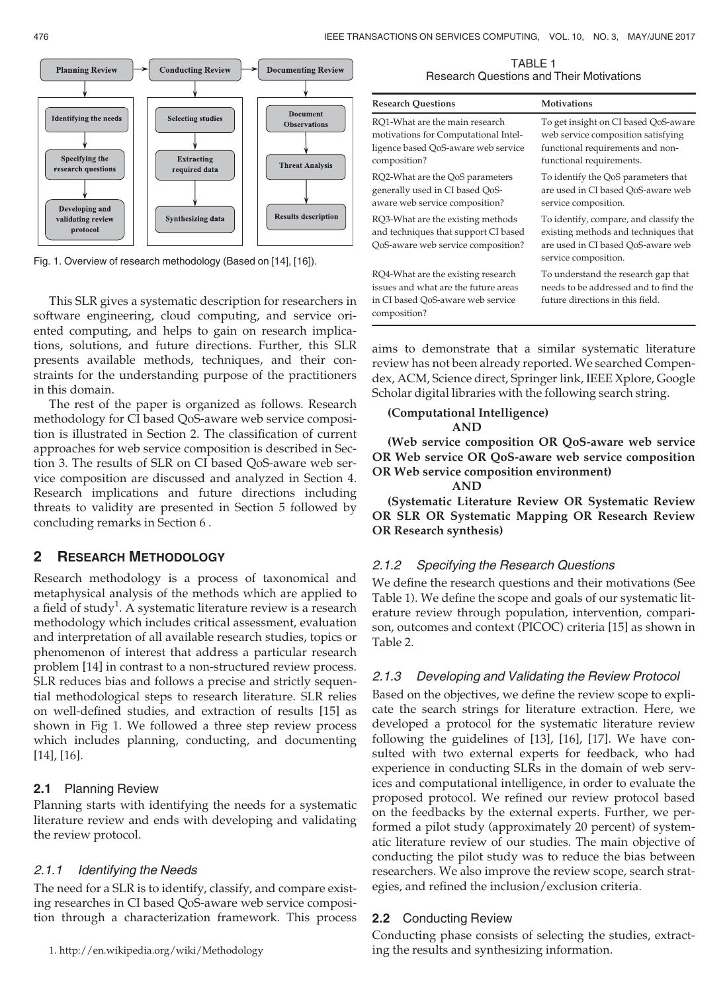

Fig. 1. Overview of research methodology (Based on [14], [16]).

This SLR gives a systematic description for researchers in software engineering, cloud computing, and service oriented computing, and helps to gain on research implications, solutions, and future directions. Further, this SLR presents available methods, techniques, and their constraints for the understanding purpose of the practitioners in this domain.

The rest of the paper is organized as follows. Research methodology for CI based QoS-aware web service composition is illustrated in Section 2. The classification of current approaches for web service composition is described in Section 3. The results of SLR on CI based QoS-aware web service composition are discussed and analyzed in Section 4. Research implications and future directions including threats to validity are presented in Section 5 followed by concluding remarks in Section 6 .

# 2 RESEARCH METHODOLOGY

Research methodology is a process of taxonomical and metaphysical analysis of the methods which are applied to a field of study<sup>1</sup>. A systematic literature review is a research methodology which includes critical assessment, evaluation and interpretation of all available research studies, topics or phenomenon of interest that address a particular research problem [14] in contrast to a non-structured review process. SLR reduces bias and follows a precise and strictly sequential methodological steps to research literature. SLR relies on well-defined studies, and extraction of results [15] as shown in Fig 1. We followed a three step review process which includes planning, conducting, and documenting [14], [16].

# 2.1 Planning Review

Planning starts with identifying the needs for a systematic literature review and ends with developing and validating the review protocol.

# 2.1.1 Identifying the Needs

The need for a SLR is to identify, classify, and compare existing researches in CI based QoS-aware web service composition through a characterization framework. This process

TABLE 1 Research Questions and Their Motivations

| <b>Research Questions</b>                                                                                                       | <b>Motivations</b>                                                                                                                           |
|---------------------------------------------------------------------------------------------------------------------------------|----------------------------------------------------------------------------------------------------------------------------------------------|
| RO1-What are the main research<br>motivations for Computational Intel-<br>ligence based QoS-aware web service<br>composition?   | To get insight on CI based QoS-aware<br>web service composition satisfying<br>functional requirements and non-<br>functional requirements.   |
| RQ2-What are the QoS parameters<br>generally used in CI based QoS-<br>aware web service composition?                            | To identify the QoS parameters that<br>are used in CI based OoS-aware web<br>service composition.                                            |
| RQ3-What are the existing methods<br>and techniques that support CI based<br>QoS-aware web service composition?                 | To identify, compare, and classify the<br>existing methods and techniques that<br>are used in CI based QoS-aware web<br>service composition. |
| RQ4-What are the existing research<br>issues and what are the future areas<br>in CI based QoS-aware web service<br>composition? | To understand the research gap that<br>needs to be addressed and to find the<br>future directions in this field.                             |

aims to demonstrate that a similar systematic literature review has not been already reported. We searched Compendex, ACM, Science direct, Springer link, IEEE Xplore, Google Scholar digital libraries with the following search string.

(Computational Intelligence)

AND

(Web service composition OR QoS-aware web service OR Web service OR QoS-aware web service composition OR Web service composition environment)

```
AND
```
(Systematic Literature Review OR Systematic Review OR SLR OR Systematic Mapping OR Research Review OR Research synthesis)

# 2.1.2 Specifying the Research Questions

We define the research questions and their motivations (See Table 1). We define the scope and goals of our systematic literature review through population, intervention, comparison, outcomes and context (PICOC) criteria [15] as shown in Table 2.

# 2.1.3 Developing and Validating the Review Protocol

Based on the objectives, we define the review scope to explicate the search strings for literature extraction. Here, we developed a protocol for the systematic literature review following the guidelines of [13], [16], [17]. We have consulted with two external experts for feedback, who had experience in conducting SLRs in the domain of web services and computational intelligence, in order to evaluate the proposed protocol. We refined our review protocol based on the feedbacks by the external experts. Further, we performed a pilot study (approximately 20 percent) of systematic literature review of our studies. The main objective of conducting the pilot study was to reduce the bias between researchers. We also improve the review scope, search strategies, and refined the inclusion/exclusion criteria.

# 2.2 Conducting Review

Conducting phase consists of selecting the studies, extracting the results and synthesizing information.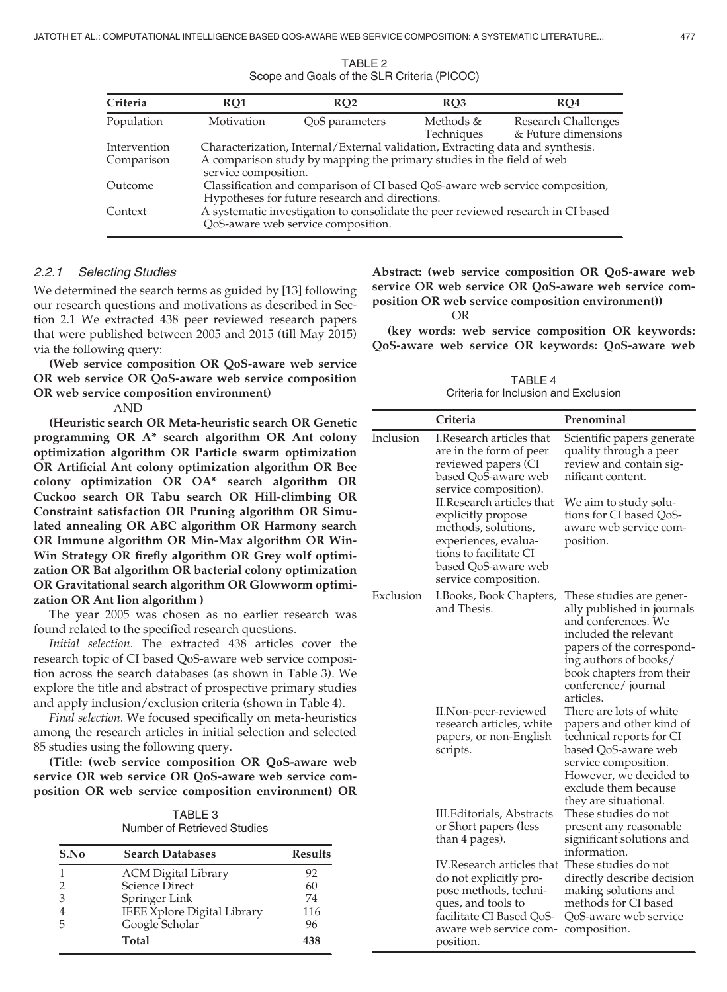| Criteria                   | RO1                                                                                                                                                                             | RO <sub>2</sub> | RO <sub>3</sub>         | RO <sub>4</sub>                                   |
|----------------------------|---------------------------------------------------------------------------------------------------------------------------------------------------------------------------------|-----------------|-------------------------|---------------------------------------------------|
| Population                 | Motivation                                                                                                                                                                      | QoS parameters  | Methods &<br>Techniques | <b>Research Challenges</b><br>& Future dimensions |
| Intervention<br>Comparison | Characterization, Internal/External validation, Extracting data and synthesis.<br>A comparison study by mapping the primary studies in the field of web<br>service composition. |                 |                         |                                                   |
| Outcome                    | Classification and comparison of CI based QoS-aware web service composition,<br>Hypotheses for future research and directions.                                                  |                 |                         |                                                   |
| Context                    | A systematic investigation to consolidate the peer reviewed research in CI based<br>QoS-aware web service composition.                                                          |                 |                         |                                                   |

TABLE 2 Scope and Goals of the SLR Criteria (PICOC)

### 2.2.1 Selecting Studies

We determined the search terms as guided by [13] following our research questions and motivations as described in Section 2.1 We extracted 438 peer reviewed research papers that were published between 2005 and 2015 (till May 2015) via the following query:

(Web service composition OR QoS-aware web service OR web service OR QoS-aware web service composition OR web service composition environment)

AND

(Heuristic search OR Meta-heuristic search OR Genetic programming OR A\* search algorithm OR Ant colony optimization algorithm OR Particle swarm optimization OR Artificial Ant colony optimization algorithm OR Bee colony optimization OR OA\* search algorithm OR Cuckoo search OR Tabu search OR Hill-climbing OR Constraint satisfaction OR Pruning algorithm OR Simulated annealing OR ABC algorithm OR Harmony search OR Immune algorithm OR Min-Max algorithm OR Win-Win Strategy OR firefly algorithm OR Grey wolf optimization OR Bat algorithm OR bacterial colony optimization OR Gravitational search algorithm OR Glowworm optimization OR Ant lion algorithm )

The year 2005 was chosen as no earlier research was found related to the specified research questions.

Initial selection. The extracted 438 articles cover the research topic of CI based QoS-aware web service composition across the search databases (as shown in Table 3). We explore the title and abstract of prospective primary studies and apply inclusion/exclusion criteria (shown in Table 4).

Final selection. We focused specifically on meta-heuristics among the research articles in initial selection and selected 85 studies using the following query.

(Title: (web service composition OR QoS-aware web service OR web service OR QoS-aware web service composition OR web service composition environment) OR

| TABLE 3                     |  |  |
|-----------------------------|--|--|
| Number of Retrieved Studies |  |  |

| S.No | <b>Search Databases</b>     | <b>Results</b> |
|------|-----------------------------|----------------|
|      | <b>ACM Digital Library</b>  | 92             |
|      | <b>Science Direct</b>       | 60             |
| 3    | Springer Link               | 74             |
|      | IEEE Xplore Digital Library | 116            |
|      | Google Scholar              | 96             |
|      | Total                       | 438            |

Abstract: (web service composition OR QoS-aware web service OR web service OR OoS-aware web service composition OR web service composition environment)) OR

(key words: web service composition OR keywords: QoS-aware web service OR keywords: QoS-aware web

TABLE 4 Criteria for Inclusion and Exclusion

|           | Criteria                                                                                                                                                                | Prenominal                                                                                                                                                                                                                  |
|-----------|-------------------------------------------------------------------------------------------------------------------------------------------------------------------------|-----------------------------------------------------------------------------------------------------------------------------------------------------------------------------------------------------------------------------|
| Inclusion | I.Research articles that<br>are in the form of peer<br>reviewed papers (CI<br>based QoS-aware web<br>service composition).                                              | Scientific papers generate<br>quality through a peer<br>review and contain sig-<br>nificant content.                                                                                                                        |
|           | II.Research articles that<br>explicitly propose<br>methods, solutions,<br>experiences, evalua-<br>tions to facilitate CI<br>based OoS-aware web<br>service composition. | We aim to study solu-<br>tions for CI based QoS-<br>aware web service com-<br>position.                                                                                                                                     |
| Exclusion | I.Books, Book Chapters,<br>and Thesis.                                                                                                                                  | These studies are gener-<br>ally published in journals<br>and conferences. We<br>included the relevant<br>papers of the correspond-<br>ing authors of books/<br>book chapters from their<br>conference/journal<br>articles. |
|           | II.Non-peer-reviewed<br>research articles, white<br>papers, or non-English<br>scripts.                                                                                  | There are lots of white<br>papers and other kind of<br>technical reports for CI<br>based QoS-aware web<br>service composition.<br>However, we decided to<br>exclude them because<br>they are situational.                   |
|           | III. Editorials, Abstracts<br>or Short papers (less<br>than 4 pages).                                                                                                   | These studies do not<br>present any reasonable<br>significant solutions and<br>information.                                                                                                                                 |
|           | IV.Research articles that<br>do not explicitly pro-<br>pose methods, techni-<br>ques, and tools to<br>facilitate CI Based QoS-<br>aware web service com-<br>position.   | These studies do not<br>directly describe decision<br>making solutions and<br>methods for CI based<br>QoS-aware web service<br>composition.                                                                                 |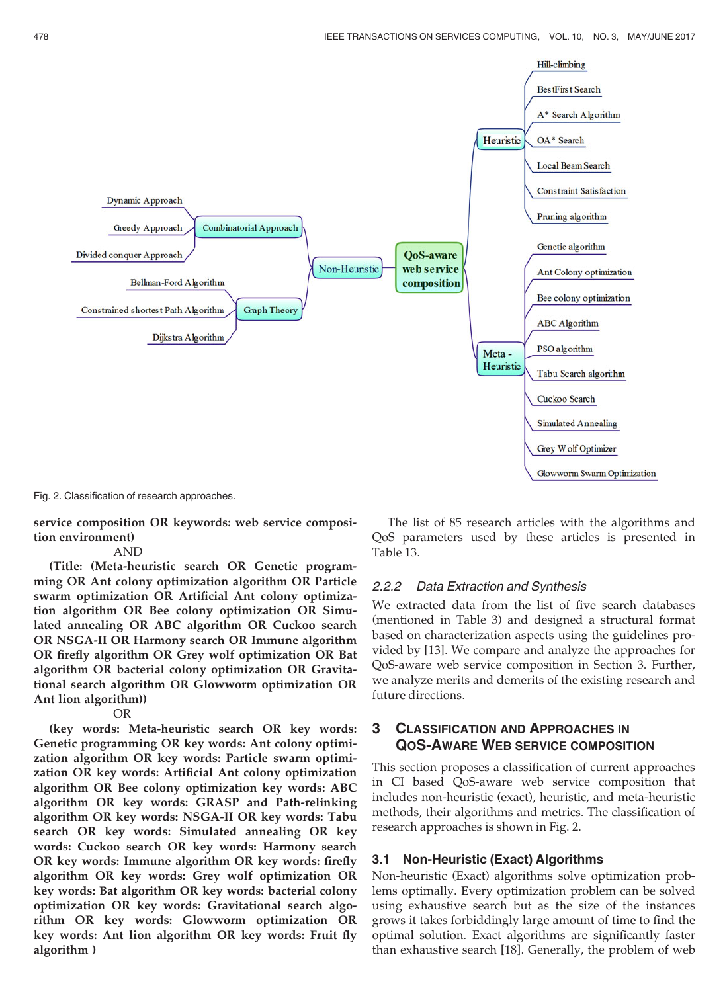

Fig. 2. Classification of research approaches.

service composition OR keywords: web service composition environment)

#### AND

(Title: (Meta-heuristic search OR Genetic programming OR Ant colony optimization algorithm OR Particle swarm optimization OR Artificial Ant colony optimization algorithm OR Bee colony optimization OR Simulated annealing OR ABC algorithm OR Cuckoo search OR NSGA-II OR Harmony search OR Immune algorithm OR firefly algorithm OR Grey wolf optimization OR Bat algorithm OR bacterial colony optimization OR Gravitational search algorithm OR Glowworm optimization OR Ant lion algorithm))

OR

(key words: Meta-heuristic search OR key words: Genetic programming OR key words: Ant colony optimization algorithm OR key words: Particle swarm optimization OR key words: Artificial Ant colony optimization algorithm OR Bee colony optimization key words: ABC algorithm OR key words: GRASP and Path-relinking algorithm OR key words: NSGA-II OR key words: Tabu search OR key words: Simulated annealing OR key words: Cuckoo search OR key words: Harmony search OR key words: Immune algorithm OR key words: firefly algorithm OR key words: Grey wolf optimization OR key words: Bat algorithm OR key words: bacterial colony optimization OR key words: Gravitational search algorithm OR key words: Glowworm optimization OR key words: Ant lion algorithm OR key words: Fruit fly algorithm )

The list of 85 research articles with the algorithms and QoS parameters used by these articles is presented in Table 13.

#### 2.2.2 Data Extraction and Synthesis

We extracted data from the list of five search databases (mentioned in Table 3) and designed a structural format based on characterization aspects using the guidelines provided by [13]. We compare and analyze the approaches for QoS-aware web service composition in Section 3. Further, we analyze merits and demerits of the existing research and future directions.

## 3 CLASSIFICATION AND APPROACHES IN QOS-AWARE WEB SERVICE COMPOSITION

This section proposes a classification of current approaches in CI based QoS-aware web service composition that includes non-heuristic (exact), heuristic, and meta-heuristic methods, their algorithms and metrics. The classification of research approaches is shown in Fig. 2.

#### 3.1 Non-Heuristic (Exact) Algorithms

Non-heuristic (Exact) algorithms solve optimization problems optimally. Every optimization problem can be solved using exhaustive search but as the size of the instances grows it takes forbiddingly large amount of time to find the optimal solution. Exact algorithms are significantly faster than exhaustive search [18]. Generally, the problem of web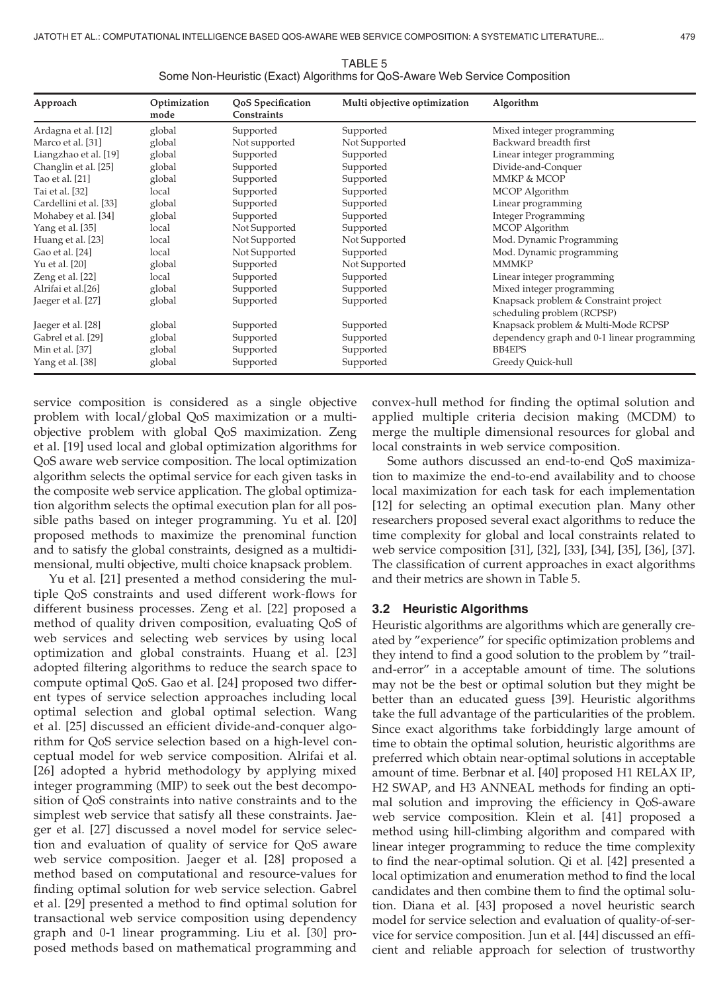| Approach               | Optimization<br>mode | QoS Specification<br><b>Constraints</b> | Multi objective optimization | Algorithm                                                           |
|------------------------|----------------------|-----------------------------------------|------------------------------|---------------------------------------------------------------------|
| Ardagna et al. [12]    | global               | Supported                               | Supported                    | Mixed integer programming                                           |
| Marco et al. [31]      | global               | Not supported                           | Not Supported                | Backward breadth first                                              |
| Liangzhao et al. [19]  | global               | Supported                               | Supported                    | Linear integer programming                                          |
| Changlin et al. [25]   | global               | Supported                               | Supported                    | Divide-and-Conquer                                                  |
| Tao et al. [21]        | global               | Supported                               | Supported                    | MMKP & MCOP                                                         |
| Tai et al. [32]        | local                | Supported                               | Supported                    | MCOP Algorithm                                                      |
| Cardellini et al. [33] | global               | Supported                               | Supported                    | Linear programming                                                  |
| Mohabey et al. [34]    | global               | Supported                               | Supported                    | <b>Integer Programming</b>                                          |
| Yang et al. [35]       | local                | Not Supported                           | Supported                    | MCOP Algorithm                                                      |
| Huang et al. [23]      | local                | Not Supported                           | Not Supported                | Mod. Dynamic Programming                                            |
| Gao et al. [24]        | local                | Not Supported                           | Supported                    | Mod. Dynamic programming                                            |
| Yu et al. [20]         | global               | Supported                               | Not Supported                | <b>MMMKP</b>                                                        |
| Zeng et al. [22]       | local                | Supported                               | Supported                    | Linear integer programming                                          |
| Alrifai et al.[26]     | global               | Supported                               | Supported                    | Mixed integer programming                                           |
| Jaeger et al. [27]     | global               | Supported                               | Supported                    | Knapsack problem & Constraint project<br>scheduling problem (RCPSP) |
| Jaeger et al. [28]     | global               | Supported                               | Supported                    | Knapsack problem & Multi-Mode RCPSP                                 |
| Gabrel et al. [29]     | global               | Supported                               | Supported                    | dependency graph and 0-1 linear programming                         |
| Min et al. [37]        | global               | Supported                               | Supported                    | <b>BB4EPS</b>                                                       |
| Yang et al. [38]       | global               | Supported                               | Supported                    | Greedy Quick-hull                                                   |

TABLE 5 Some Non-Heuristic (Exact) Algorithms for QoS-Aware Web Service Composition

service composition is considered as a single objective problem with local/global QoS maximization or a multiobjective problem with global QoS maximization. Zeng et al. [19] used local and global optimization algorithms for QoS aware web service composition. The local optimization algorithm selects the optimal service for each given tasks in the composite web service application. The global optimization algorithm selects the optimal execution plan for all possible paths based on integer programming. Yu et al. [20] proposed methods to maximize the prenominal function and to satisfy the global constraints, designed as a multidimensional, multi objective, multi choice knapsack problem.

Yu et al. [21] presented a method considering the multiple QoS constraints and used different work-flows for different business processes. Zeng et al. [22] proposed a method of quality driven composition, evaluating QoS of web services and selecting web services by using local optimization and global constraints. Huang et al. [23] adopted filtering algorithms to reduce the search space to compute optimal QoS. Gao et al. [24] proposed two different types of service selection approaches including local optimal selection and global optimal selection. Wang et al. [25] discussed an efficient divide-and-conquer algorithm for QoS service selection based on a high-level conceptual model for web service composition. Alrifai et al. [26] adopted a hybrid methodology by applying mixed integer programming (MIP) to seek out the best decomposition of QoS constraints into native constraints and to the simplest web service that satisfy all these constraints. Jaeger et al. [27] discussed a novel model for service selection and evaluation of quality of service for QoS aware web service composition. Jaeger et al. [28] proposed a method based on computational and resource-values for finding optimal solution for web service selection. Gabrel et al. [29] presented a method to find optimal solution for transactional web service composition using dependency graph and 0-1 linear programming. Liu et al. [30] proposed methods based on mathematical programming and

convex-hull method for finding the optimal solution and applied multiple criteria decision making (MCDM) to merge the multiple dimensional resources for global and local constraints in web service composition.

Some authors discussed an end-to-end QoS maximization to maximize the end-to-end availability and to choose local maximization for each task for each implementation [12] for selecting an optimal execution plan. Many other researchers proposed several exact algorithms to reduce the time complexity for global and local constraints related to web service composition [31], [32], [33], [34], [35], [36], [37]. The classification of current approaches in exact algorithms and their metrics are shown in Table 5.

#### 3.2 Heuristic Algorithms

Heuristic algorithms are algorithms which are generally created by "experience" for specific optimization problems and they intend to find a good solution to the problem by "trailand-error" in a acceptable amount of time. The solutions may not be the best or optimal solution but they might be better than an educated guess [39]. Heuristic algorithms take the full advantage of the particularities of the problem. Since exact algorithms take forbiddingly large amount of time to obtain the optimal solution, heuristic algorithms are preferred which obtain near-optimal solutions in acceptable amount of time. Berbnar et al. [40] proposed H1 RELAX IP, H2 SWAP, and H3 ANNEAL methods for finding an optimal solution and improving the efficiency in QoS-aware web service composition. Klein et al. [41] proposed a method using hill-climbing algorithm and compared with linear integer programming to reduce the time complexity to find the near-optimal solution. Qi et al. [42] presented a local optimization and enumeration method to find the local candidates and then combine them to find the optimal solution. Diana et al. [43] proposed a novel heuristic search model for service selection and evaluation of quality-of-service for service composition. Jun et al. [44] discussed an efficient and reliable approach for selection of trustworthy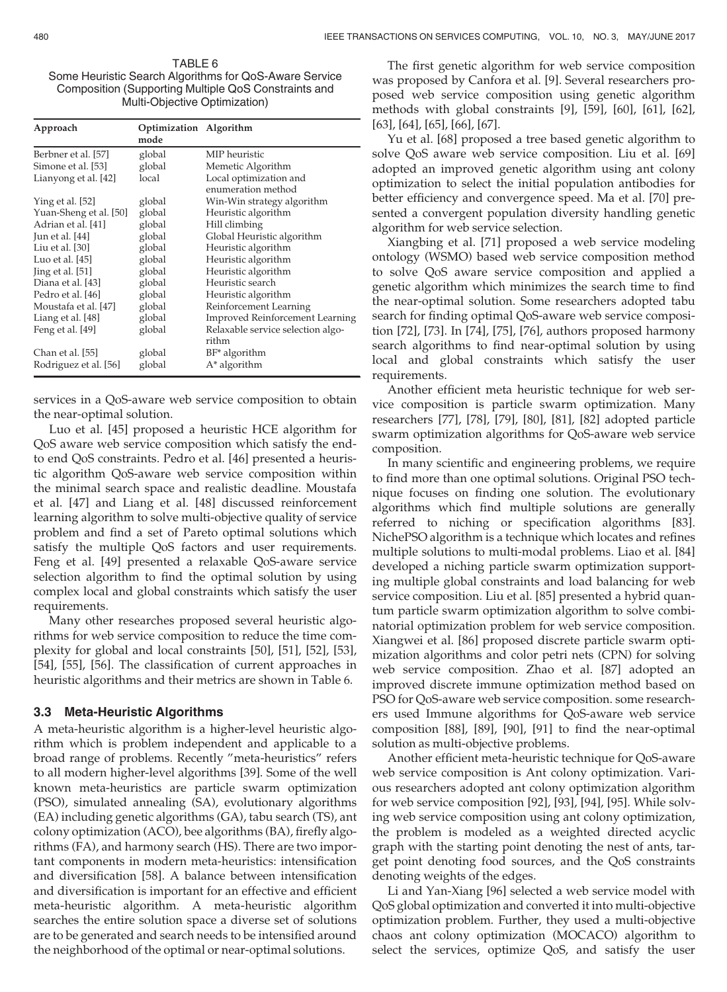TABLE 6 Some Heuristic Search Algorithms for QoS-Aware Service Composition (Supporting Multiple QoS Constraints and Multi-Objective Optimization)

| Approach               | Optimization Algorithm<br>mode |                                              |
|------------------------|--------------------------------|----------------------------------------------|
| Berbner et al. [57]    | global                         | MIP heuristic                                |
| Simone et al. [53]     | global                         | Memetic Algorithm                            |
| Lianyong et al. [42]   | local                          | Local optimization and<br>enumeration method |
| Ying et al. [52]       | global                         | Win-Win strategy algorithm                   |
| Yuan-Sheng et al. [50] | global                         | Heuristic algorithm                          |
| Adrian et al. [41]     | global                         | Hill climbing                                |
| Jun et al. [44]        | global                         | Global Heuristic algorithm                   |
| Liu et al. $[30]$      | global                         | Heuristic algorithm                          |
| Luo et al. $[45]$      | global                         | Heuristic algorithm                          |
| Jing et al. [51]       | global                         | Heuristic algorithm                          |
| Diana et al. [43]      | global                         | Heuristic search                             |
| Pedro et al. [46]      | global                         | Heuristic algorithm                          |
| Moustafa et al. [47]   | global                         | Reinforcement Learning                       |
| Liang et al. [48]      | global                         | <b>Improved Reinforcement Learning</b>       |
| Feng et al. [49]       | global                         | Relaxable service selection algo-<br>rithm   |
| Chan et al. [55]       | global                         | $BF^*$ algorithm                             |
| Rodriguez et al. [56]  | global                         | A* algorithm                                 |

services in a QoS-aware web service composition to obtain the near-optimal solution.

Luo et al. [45] proposed a heuristic HCE algorithm for QoS aware web service composition which satisfy the endto end QoS constraints. Pedro et al. [46] presented a heuristic algorithm QoS-aware web service composition within the minimal search space and realistic deadline. Moustafa et al. [47] and Liang et al. [48] discussed reinforcement learning algorithm to solve multi-objective quality of service problem and find a set of Pareto optimal solutions which satisfy the multiple QoS factors and user requirements. Feng et al. [49] presented a relaxable QoS-aware service selection algorithm to find the optimal solution by using complex local and global constraints which satisfy the user requirements.

Many other researches proposed several heuristic algorithms for web service composition to reduce the time complexity for global and local constraints [50], [51], [52], [53], [54], [55], [56]. The classification of current approaches in heuristic algorithms and their metrics are shown in Table 6.

#### 3.3 Meta-Heuristic Algorithms

A meta-heuristic algorithm is a higher-level heuristic algorithm which is problem independent and applicable to a broad range of problems. Recently "meta-heuristics" refers to all modern higher-level algorithms [39]. Some of the well known meta-heuristics are particle swarm optimization (PSO), simulated annealing (SA), evolutionary algorithms (EA) including genetic algorithms (GA), tabu search (TS), ant colony optimization (ACO), bee algorithms (BA), firefly algorithms (FA), and harmony search (HS). There are two important components in modern meta-heuristics: intensification and diversification [58]. A balance between intensification and diversification is important for an effective and efficient meta-heuristic algorithm. A meta-heuristic algorithm searches the entire solution space a diverse set of solutions are to be generated and search needs to be intensified around the neighborhood of the optimal or near-optimal solutions.

The first genetic algorithm for web service composition was proposed by Canfora et al. [9]. Several researchers proposed web service composition using genetic algorithm methods with global constraints [9], [59], [60], [61], [62], [63], [64], [65], [66], [67].

Yu et al. [68] proposed a tree based genetic algorithm to solve QoS aware web service composition. Liu et al. [69] adopted an improved genetic algorithm using ant colony optimization to select the initial population antibodies for better efficiency and convergence speed. Ma et al. [70] presented a convergent population diversity handling genetic algorithm for web service selection.

Xiangbing et al. [71] proposed a web service modeling ontology (WSMO) based web service composition method to solve QoS aware service composition and applied a genetic algorithm which minimizes the search time to find the near-optimal solution. Some researchers adopted tabu search for finding optimal QoS-aware web service composition [72], [73]. In [74], [75], [76], authors proposed harmony search algorithms to find near-optimal solution by using local and global constraints which satisfy the user requirements.

Another efficient meta heuristic technique for web service composition is particle swarm optimization. Many researchers [77], [78], [79], [80], [81], [82] adopted particle swarm optimization algorithms for QoS-aware web service composition.

In many scientific and engineering problems, we require to find more than one optimal solutions. Original PSO technique focuses on finding one solution. The evolutionary algorithms which find multiple solutions are generally referred to niching or specification algorithms [83]. NichePSO algorithm is a technique which locates and refines multiple solutions to multi-modal problems. Liao et al. [84] developed a niching particle swarm optimization supporting multiple global constraints and load balancing for web service composition. Liu et al. [85] presented a hybrid quantum particle swarm optimization algorithm to solve combinatorial optimization problem for web service composition. Xiangwei et al. [86] proposed discrete particle swarm optimization algorithms and color petri nets (CPN) for solving web service composition. Zhao et al. [87] adopted an improved discrete immune optimization method based on PSO for QoS-aware web service composition. some researchers used Immune algorithms for QoS-aware web service composition [88], [89], [90], [91] to find the near-optimal solution as multi-objective problems.

Another efficient meta-heuristic technique for QoS-aware web service composition is Ant colony optimization. Various researchers adopted ant colony optimization algorithm for web service composition [92], [93], [94], [95]. While solving web service composition using ant colony optimization, the problem is modeled as a weighted directed acyclic graph with the starting point denoting the nest of ants, target point denoting food sources, and the QoS constraints denoting weights of the edges.

Li and Yan-Xiang [96] selected a web service model with QoS global optimization and converted it into multi-objective optimization problem. Further, they used a multi-objective chaos ant colony optimization (MOCACO) algorithm to select the services, optimize QoS, and satisfy the user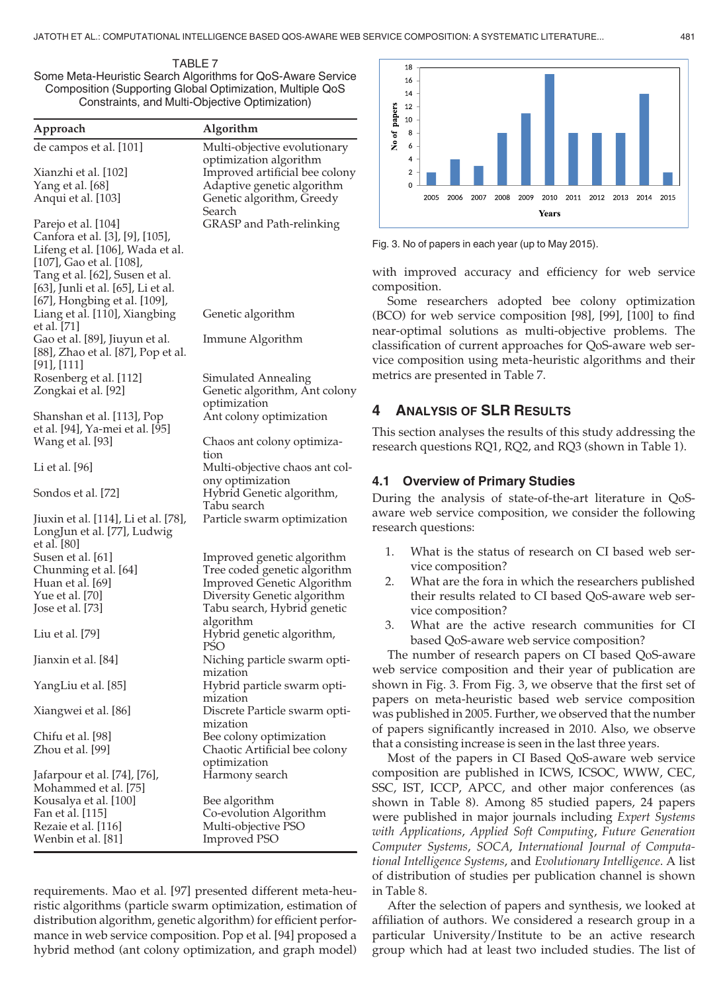TABLE 7 Some Meta-Heuristic Search Algorithms for QoS-Aware Service Composition (Supporting Global Optimization, Multiple QoS Constraints, and Multi-Objective Optimization)

| Approach                                     | Algorithm                                                  |
|----------------------------------------------|------------------------------------------------------------|
| de campos et al. [101]                       | Multi-objective evolutionary                               |
|                                              | optimization algorithm                                     |
| Xianzhi et al. [102]                         | Improved artificial bee colony                             |
| Yang et al. [68]<br>Anqui et al. [103]       | Adaptive genetic algorithm<br>Genetic algorithm, Greedy    |
|                                              | Search                                                     |
| Parejo et al. [104]                          | GRASP and Path-relinking                                   |
| Canfora et al. [3], [9], [105],              |                                                            |
| Lifeng et al. [106], Wada et al.             |                                                            |
| [107], Gao et al. [108],                     |                                                            |
| Tang et al. [62], Susen et al.               |                                                            |
| [63], Junli et al. [65], Li et al.           |                                                            |
| [67], Hongbing et al. [109],                 |                                                            |
| Liang et al. [110], Xiangbing<br>et al. [71] | Genetic algorithm                                          |
| Gao et al. [89], Jiuyun et al.               | Immune Algorithm                                           |
| [88], Zhao et al. [87], Pop et al.           |                                                            |
| $[91]$ , $[111]$                             |                                                            |
| Rosenberg et al. [112]                       | Simulated Annealing                                        |
| Zongkai et al. [92]                          | Genetic algorithm, Ant colony                              |
|                                              | optimization                                               |
| Shanshan et al. [113], Pop                   | Ant colony optimization                                    |
| et al. [94], Ya-mei et al. [95]              |                                                            |
| Wang et al. [93]                             | Chaos ant colony optimiza-<br>tion                         |
| Li et al. [96]                               | Multi-objective chaos ant col-                             |
|                                              | ony optimization                                           |
| Sondos et al. [72]                           | Hybrid Genetic algorithm,                                  |
|                                              | Tabu search                                                |
| Jiuxin et al. [114], Li et al. [78],         | Particle swarm optimization                                |
| LongJun et al. [77], Ludwig                  |                                                            |
| et al. [80]                                  |                                                            |
| Susen et al. [61]                            | Improved genetic algorithm<br>Tree coded genetic algorithm |
| Chunming et al. [64]<br>Huan et al. [69]     | Improved Genetic Algorithm                                 |
| Yue et al. [70]                              | Diversity Genetic algorithm                                |
| Jose et al. [73]                             | Tabu search, Hybrid genetic                                |
|                                              | algorithm                                                  |
| Liu et al. [79]                              | Hybrid genetic algorithm,                                  |
|                                              | PSO                                                        |
| Jianxin et al. [84]                          | Niching particle swarm opti-                               |
|                                              | mization                                                   |
| YangLiu et al. [85]                          | Hybrid particle swarm opti-<br>mization                    |
| Xiangwei et al. [86]                         | Discrete Particle swarm opti-                              |
|                                              | mization                                                   |
| Chifu et al. [98]                            | Bee colony optimization                                    |
| Zhou et al. [99]                             | Chaotic Artificial bee colony                              |
|                                              | optimization                                               |
| Jafarpour et al. [74], [76],                 | Harmony search                                             |
| Mohammed et al. [75]                         |                                                            |
| Kousalya et al. [100]                        | Bee algorithm                                              |
| Fan et al. [115]<br>Rezaie et al. [116]      | Co-evolution Algorithm<br>Multi-objective PSO              |
| Wenbin et al. [81]                           | <b>Improved PSO</b>                                        |
|                                              |                                                            |

requirements. Mao et al. [97] presented different meta-heuristic algorithms (particle swarm optimization, estimation of distribution algorithm, genetic algorithm) for efficient performance in web service composition. Pop et al. [94] proposed a hybrid method (ant colony optimization, and graph model)



Fig. 3. No of papers in each year (up to May 2015).

with improved accuracy and efficiency for web service composition.

Some researchers adopted bee colony optimization (BCO) for web service composition [98], [99], [100] to find near-optimal solutions as multi-objective problems. The classification of current approaches for QoS-aware web service composition using meta-heuristic algorithms and their metrics are presented in Table 7.

#### 4 ANALYSIS OF SLR RESULTS

This section analyses the results of this study addressing the research questions RQ1, RQ2, and RQ3 (shown in Table 1).

#### 4.1 Overview of Primary Studies

During the analysis of state-of-the-art literature in QoSaware web service composition, we consider the following research questions:

- 1. What is the status of research on CI based web service composition?
- 2. What are the fora in which the researchers published their results related to CI based QoS-aware web service composition?
- 3. What are the active research communities for CI based QoS-aware web service composition?

The number of research papers on CI based QoS-aware web service composition and their year of publication are shown in Fig. 3. From Fig. 3, we observe that the first set of papers on meta-heuristic based web service composition was published in 2005. Further, we observed that the number of papers significantly increased in 2010. Also, we observe that a consisting increase is seen in the last three years.

Most of the papers in CI Based QoS-aware web service composition are published in ICWS, ICSOC, WWW, CEC, SSC, IST, ICCP, APCC, and other major conferences (as shown in Table 8). Among 85 studied papers, 24 papers were published in major journals including Expert Systems with Applications, Applied Soft Computing, Future Generation Computer Systems, SOCA, International Journal of Computational Intelligence Systems, and Evolutionary Intelligence. A list of distribution of studies per publication channel is shown in Table 8.

After the selection of papers and synthesis, we looked at affiliation of authors. We considered a research group in a particular University/Institute to be an active research group which had at least two included studies. The list of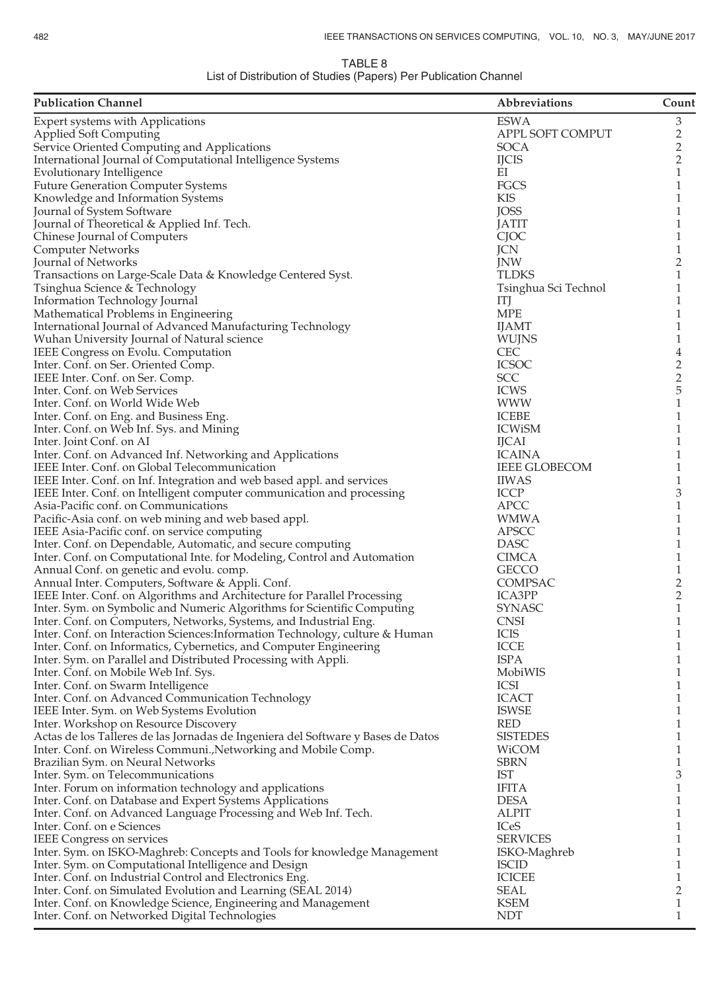#### TABLE 8 List of Distribution of Studies (Papers) Per Publication Channel

| <b>Publication Channel</b>                                                                                                   | Abbreviations             | Count          |
|------------------------------------------------------------------------------------------------------------------------------|---------------------------|----------------|
| Expert systems with Applications                                                                                             | <b>ESWA</b>               | 3              |
| <b>Applied Soft Computing</b>                                                                                                | APPL SOFT COMPUT          | $\overline{c}$ |
| Service Oriented Computing and Applications                                                                                  | SOCA                      | $\overline{c}$ |
| International Journal of Computational Intelligence Systems                                                                  | <b>IJCIS</b>              | 2              |
| <b>Evolutionary Intelligence</b>                                                                                             | ΕI                        | 1              |
| <b>Future Generation Computer Systems</b>                                                                                    | FGCS<br><b>KIS</b>        | 1              |
| Knowledge and Information Systems<br>Journal of System Software                                                              | <b>JOSS</b>               | 1<br>1         |
| Journal of Theoretical & Applied Inf. Tech.                                                                                  | <b>JATIT</b>              | 1              |
| Chinese Journal of Computers                                                                                                 | CJOC                      | 1              |
| <b>Computer Networks</b>                                                                                                     | <b>JCN</b>                | 1              |
| Journal of Networks                                                                                                          | <b>JNW</b>                | 2              |
| Transactions on Large-Scale Data & Knowledge Centered Syst.                                                                  | <b>TLDKS</b>              | 1              |
| Tsinghua Science & Technology                                                                                                | Tsinghua Sci Technol      | 1              |
| Information Technology Journal                                                                                               | ITJ                       |                |
| Mathematical Problems in Engineering                                                                                         | <b>MPE</b>                | 1              |
| International Journal of Advanced Manufacturing Technology                                                                   | <b>IJAMT</b>              | 1              |
| Wuhan University Journal of Natural science                                                                                  | <b>WUJNS</b>              | 1              |
| IEEE Congress on Evolu. Computation                                                                                          | <b>CEC</b>                | 4              |
| Inter. Conf. on Ser. Oriented Comp.                                                                                          | <b>ICSOC</b>              | $\overline{c}$ |
| IEEE Inter. Conf. on Ser. Comp.<br>Inter. Conf. on Web Services                                                              | <b>SCC</b><br><b>ICWS</b> | 2<br>5         |
| Inter. Conf. on World Wide Web                                                                                               | <b>WWW</b>                | 1              |
| Inter. Conf. on Eng. and Business Eng.                                                                                       | <b>ICEBE</b>              | 1              |
| Inter. Conf. on Web Inf. Sys. and Mining                                                                                     | <b>ICWISM</b>             | 1              |
| Inter. Joint Conf. on AI                                                                                                     | <b>IJCAI</b>              | 1              |
| Inter. Conf. on Advanced Inf. Networking and Applications                                                                    | <b>ICAINA</b>             | 1              |
| IEEE Inter. Conf. on Global Telecommunication                                                                                | <b>IEEE GLOBECOM</b>      | 1              |
| IEEE Inter. Conf. on Inf. Integration and web based appl. and services                                                       | <b>IIWAS</b>              | 1              |
| IEEE Inter. Conf. on Intelligent computer communication and processing                                                       | <b>ICCP</b>               | 3              |
| Asia-Pacific conf. on Communications                                                                                         | <b>APCC</b>               | 1              |
| Pacific-Asia conf. on web mining and web based appl.                                                                         | WMWA                      | 1              |
| IEEE Asia-Pacific conf. on service computing                                                                                 | APSCC                     | 1              |
| Inter. Conf. on Dependable, Automatic, and secure computing                                                                  | <b>DASC</b>               | 1              |
| Inter. Conf. on Computational Inte. for Modeling, Control and Automation                                                     | <b>CIMCA</b>              | 1              |
| Annual Conf. on genetic and evolu. comp.                                                                                     | <b>GECCO</b><br>COMPSAC   | 1              |
| Annual Inter. Computers, Software & Appli. Conf.<br>IEEE Inter. Conf. on Algorithms and Architecture for Parallel Processing | <b>ICA3PP</b>             | 2<br>2         |
| Inter. Sym. on Symbolic and Numeric Algorithms for Scientific Computing                                                      | <b>SYNASC</b>             | 1              |
| Inter. Conf. on Computers, Networks, Systems, and Industrial Eng.                                                            | <b>CNSI</b>               | 1              |
| Inter. Conf. on Interaction Sciences: Information Technology, culture & Human                                                | <b>ICIS</b>               | 1              |
| Inter. Conf. on Informatics, Cybernetics, and Computer Engineering                                                           | <b>ICCE</b>               | 1              |
| Inter. Sym. on Parallel and Distributed Processing with Appli.                                                               | <b>ISPA</b>               | 1              |
| Inter. Conf. on Mobile Web Inf. Sys.                                                                                         | MobiWIS                   | 1              |
| Inter. Conf. on Swarm Intelligence                                                                                           | <b>ICSI</b>               | 1              |
| Inter. Conf. on Advanced Communication Technology                                                                            | <b>ICACT</b>              | 1              |
| IEEE Inter. Sym. on Web Systems Evolution                                                                                    | <b>ISWSE</b>              | 1              |
| Inter. Workshop on Resource Discovery                                                                                        | <b>RED</b>                | 1              |
| Actas de los Talleres de las Jornadas de Ingeniera del Software y Bases de Datos                                             | <b>SISTEDES</b>           | 1              |
| Inter. Conf. on Wireless Communi., Networking and Mobile Comp.                                                               | WiCOM                     | 1              |
| Brazilian Sym. on Neural Networks<br>Inter. Sym. on Telecommunications                                                       | <b>SBRN</b><br>IST        | 1<br>3         |
| Inter. Forum on information technology and applications                                                                      | <b>IFITA</b>              | 1              |
| Inter. Conf. on Database and Expert Systems Applications                                                                     | <b>DESA</b>               | 1              |
| Inter. Conf. on Advanced Language Processing and Web Inf. Tech.                                                              | <b>ALPIT</b>              | 1              |
| Inter. Conf. on e Sciences                                                                                                   | <b>ICeS</b>               | 1              |
| <b>IEEE</b> Congress on services                                                                                             | <b>SERVICES</b>           | 1              |
| Inter. Sym. on ISKO-Maghreb: Concepts and Tools for knowledge Management                                                     | ISKO-Maghreb              | 1              |
| Inter. Sym. on Computational Intelligence and Design                                                                         | <b>ISCID</b>              | 1              |
| Inter. Conf. on Industrial Control and Electronics Eng.                                                                      | <b>ICICEE</b>             | 1              |
| Inter. Conf. on Simulated Evolution and Learning (SEAL 2014)                                                                 | SEAL                      | 2              |
| Inter. Conf. on Knowledge Science, Engineering and Management                                                                | <b>KSEM</b>               | 1              |
| Inter. Conf. on Networked Digital Technologies                                                                               | <b>NDT</b>                | 1              |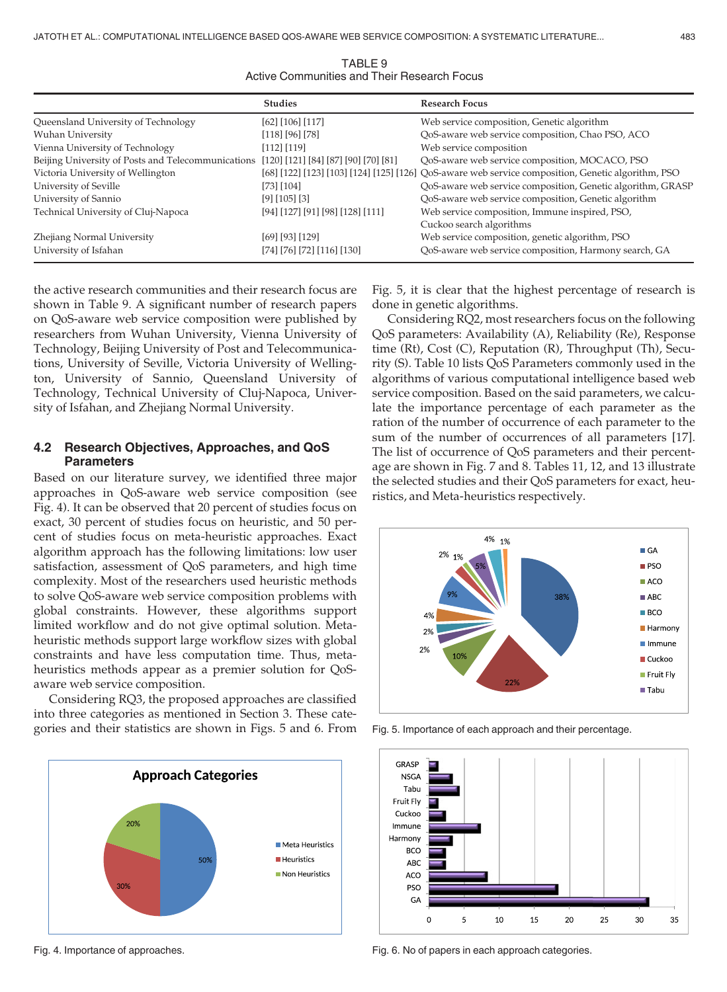TABLE 9 Active Communities and Their Research Focus

|                                                                                         | <b>Studies</b>                   | <b>Research Focus</b>                                                                              |
|-----------------------------------------------------------------------------------------|----------------------------------|----------------------------------------------------------------------------------------------------|
| Queensland University of Technology                                                     | [62] [106] [117]                 | Web service composition, Genetic algorithm                                                         |
| Wuhan University                                                                        | [118] [96] [78]                  | QoS-aware web service composition, Chao PSO, ACO                                                   |
| Vienna University of Technology                                                         | $[112]$ $[119]$                  | Web service composition                                                                            |
| Beijing University of Posts and Telecommunications [120] [121] [84] [87] [90] [70] [81] |                                  | QoS-aware web service composition, MOCACO, PSO                                                     |
| Victoria University of Wellington                                                       |                                  | [68] [122] [123] [103] [124] [125] [126] QoS-aware web service composition, Genetic algorithm, PSO |
| University of Seville                                                                   | [73] [104]                       | QoS-aware web service composition, Genetic algorithm, GRASP                                        |
| University of Sannio                                                                    | $[9]$ $[105]$ $[3]$              | QoS-aware web service composition, Genetic algorithm                                               |
| Technical University of Cluj-Napoca                                                     | [94] [127] [91] [98] [128] [111] | Web service composition, Immune inspired, PSO,                                                     |
|                                                                                         |                                  | Cuckoo search algorithms                                                                           |
| Zhejiang Normal University                                                              | [69] [93] [129]                  | Web service composition, genetic algorithm, PSO                                                    |
| University of Isfahan                                                                   | [74] [76] [72] [116] [130]       | QoS-aware web service composition, Harmony search, GA                                              |

the active research communities and their research focus are shown in Table 9. A significant number of research papers on QoS-aware web service composition were published by researchers from Wuhan University, Vienna University of Technology, Beijing University of Post and Telecommunications, University of Seville, Victoria University of Wellington, University of Sannio, Queensland University of Technology, Technical University of Cluj-Napoca, University of Isfahan, and Zhejiang Normal University.

#### 4.2 Research Objectives, Approaches, and QoS **Parameters**

Based on our literature survey, we identified three major approaches in QoS-aware web service composition (see Fig. 4). It can be observed that 20 percent of studies focus on exact, 30 percent of studies focus on heuristic, and 50 percent of studies focus on meta-heuristic approaches. Exact algorithm approach has the following limitations: low user satisfaction, assessment of QoS parameters, and high time complexity. Most of the researchers used heuristic methods to solve QoS-aware web service composition problems with global constraints. However, these algorithms support limited workflow and do not give optimal solution. Metaheuristic methods support large workflow sizes with global constraints and have less computation time. Thus, metaheuristics methods appear as a premier solution for QoSaware web service composition.

Considering RQ3, the proposed approaches are classified into three categories as mentioned in Section 3. These categories and their statistics are shown in Figs. 5 and 6. From



Fig. 5, it is clear that the highest percentage of research is done in genetic algorithms.

Considering RQ2, most researchers focus on the following QoS parameters: Availability (A), Reliability (Re), Response time (Rt), Cost (C), Reputation (R), Throughput (Th), Security (S). Table 10 lists QoS Parameters commonly used in the algorithms of various computational intelligence based web service composition. Based on the said parameters, we calculate the importance percentage of each parameter as the ration of the number of occurrence of each parameter to the sum of the number of occurrences of all parameters [17]. The list of occurrence of QoS parameters and their percentage are shown in Fig. 7 and 8. Tables 11, 12, and 13 illustrate the selected studies and their QoS parameters for exact, heuristics, and Meta-heuristics respectively.



Fig. 5. Importance of each approach and their percentage.



Fig. 4. Importance of approaches.

Fig. 6. No of papers in each approach categories.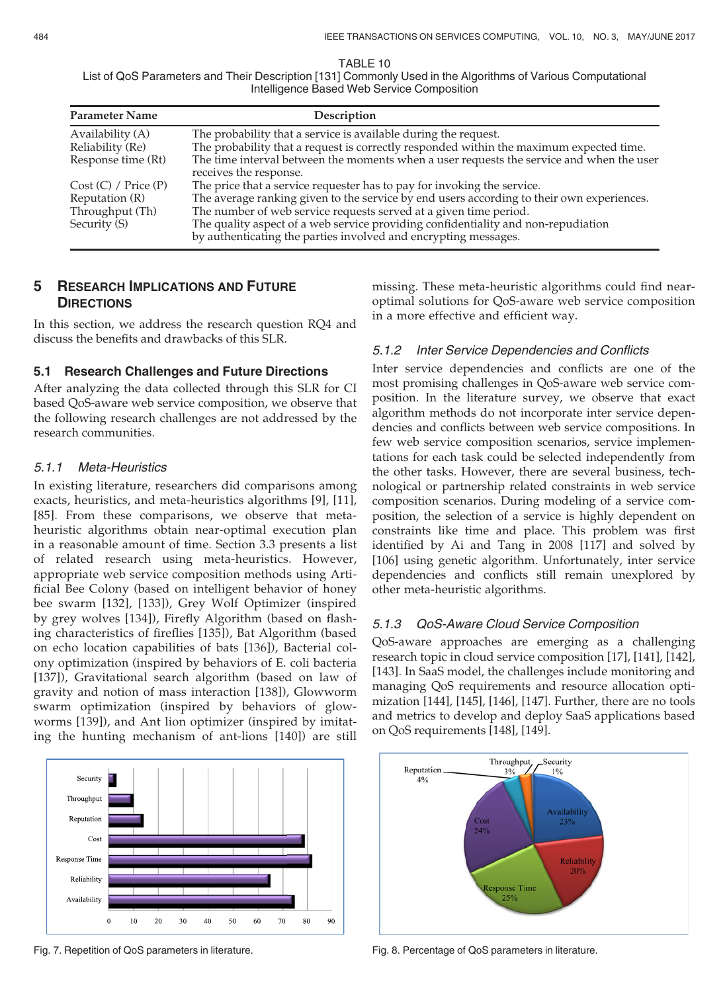TABLE 10

List of QoS Parameters and Their Description [131] Commonly Used in the Algorithms of Various Computational Intelligence Based Web Service Composition

| <b>Parameter Name</b> | Description                                                                                                                                          |
|-----------------------|------------------------------------------------------------------------------------------------------------------------------------------------------|
| Availability (A)      | The probability that a service is available during the request.                                                                                      |
| Reliability (Re)      | The probability that a request is correctly responded within the maximum expected time.                                                              |
| Response time (Rt)    | The time interval between the moments when a user requests the service and when the user<br>receives the response.                                   |
| Cost (C) / Price (P)  | The price that a service requester has to pay for invoking the service.                                                                              |
| Reputation (R)        | The average ranking given to the service by end users according to their own experiences.                                                            |
| Throughput (Th)       | The number of web service requests served at a given time period.                                                                                    |
| Security (S)          | The quality aspect of a web service providing confidentiality and non-repudiation<br>by authenticating the parties involved and encrypting messages. |

# 5 RESEARCH IMPLICATIONS AND FUTURE **DIRECTIONS**

In this section, we address the research question RQ4 and discuss the benefits and drawbacks of this SLR.

## 5.1 Research Challenges and Future Directions

After analyzing the data collected through this SLR for CI based QoS-aware web service composition, we observe that the following research challenges are not addressed by the research communities.

#### 5.1.1 Meta-Heuristics

In existing literature, researchers did comparisons among exacts, heuristics, and meta-heuristics algorithms [9], [11], [85]. From these comparisons, we observe that metaheuristic algorithms obtain near-optimal execution plan in a reasonable amount of time. Section 3.3 presents a list of related research using meta-heuristics. However, appropriate web service composition methods using Artificial Bee Colony (based on intelligent behavior of honey bee swarm [132], [133]), Grey Wolf Optimizer (inspired by grey wolves [134]), Firefly Algorithm (based on flashing characteristics of fireflies [135]), Bat Algorithm (based on echo location capabilities of bats [136]), Bacterial colony optimization (inspired by behaviors of E. coli bacteria [137]), Gravitational search algorithm (based on law of gravity and notion of mass interaction [138]), Glowworm swarm optimization (inspired by behaviors of glowworms [139]), and Ant lion optimizer (inspired by imitating the hunting mechanism of ant-lions [140]) are still



missing. These meta-heuristic algorithms could find nearoptimal solutions for QoS-aware web service composition in a more effective and efficient way.

## 5.1.2 Inter Service Dependencies and Conflicts

Inter service dependencies and conflicts are one of the most promising challenges in QoS-aware web service composition. In the literature survey, we observe that exact algorithm methods do not incorporate inter service dependencies and conflicts between web service compositions. In few web service composition scenarios, service implementations for each task could be selected independently from the other tasks. However, there are several business, technological or partnership related constraints in web service composition scenarios. During modeling of a service composition, the selection of a service is highly dependent on constraints like time and place. This problem was first identified by Ai and Tang in 2008 [117] and solved by [106] using genetic algorithm. Unfortunately, inter service dependencies and conflicts still remain unexplored by other meta-heuristic algorithms.

## 5.1.3 QoS-Aware Cloud Service Composition

QoS-aware approaches are emerging as a challenging research topic in cloud service composition [17], [141], [142], [143]. In SaaS model, the challenges include monitoring and managing QoS requirements and resource allocation optimization [144], [145], [146], [147]. Further, there are no tools and metrics to develop and deploy SaaS applications based on QoS requirements [148], [149].



Fig. 7. Repetition of QoS parameters in literature. Fig. 8. Percentage of QoS parameters in literature.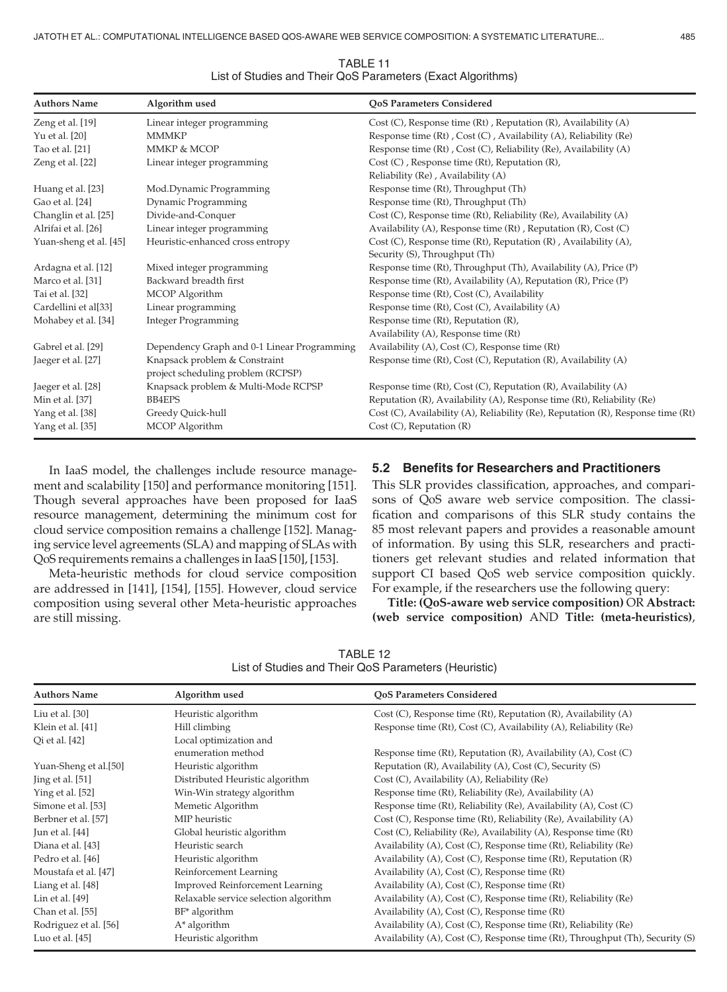| <b>Authors Name</b>    | Algorithm used                              | <b>QoS Parameters Considered</b>                                                 |
|------------------------|---------------------------------------------|----------------------------------------------------------------------------------|
| Zeng et al. [19]       | Linear integer programming                  | Cost $(C)$ , Response time $(Rt)$ , Reputation $(R)$ , Availability $(A)$        |
| Yu et al. [20]         | <b>MMMKP</b>                                | Response time (Rt), Cost (C), Availability (A), Reliability (Re)                 |
| Tao et al. [21]        | MMKP & MCOP                                 | Response time (Rt), Cost (C), Reliability (Re), Availability (A)                 |
| Zeng et al. [22]       | Linear integer programming                  | $Cost(C)$ , Response time (Rt), Reputation (R),                                  |
|                        |                                             | Reliability (Re), Availability (A)                                               |
| Huang et al. [23]      | Mod.Dynamic Programming                     | Response time (Rt), Throughput (Th)                                              |
| Gao et al. [24]        | Dynamic Programming                         | Response time (Rt), Throughput (Th)                                              |
| Changlin et al. [25]   | Divide-and-Conquer                          | Cost (C), Response time (Rt), Reliability (Re), Availability (A)                 |
| Alrifai et al. [26]    | Linear integer programming                  | Availability (A), Response time $(Rt)$ , Reputation $(R)$ , Cost $(C)$           |
| Yuan-sheng et al. [45] | Heuristic-enhanced cross entropy            | Cost (C), Response time (Rt), Reputation (R), Availability (A),                  |
|                        |                                             | Security (S), Throughput (Th)                                                    |
| Ardagna et al. [12]    | Mixed integer programming                   | Response time (Rt), Throughput (Th), Availability (A), Price (P)                 |
| Marco et al. [31]      | Backward breadth first                      | Response time (Rt), Availability (A), Reputation (R), Price (P)                  |
| Tai et al. [32]        | MCOP Algorithm                              | Response time (Rt), Cost (C), Availability                                       |
| Cardellini et al[33]   | Linear programming                          | Response time (Rt), Cost (C), Availability (A)                                   |
| Mohabey et al. [34]    | <b>Integer Programming</b>                  | Response time (Rt), Reputation (R),                                              |
|                        |                                             | Availability (A), Response time (Rt)                                             |
| Gabrel et al. [29]     | Dependency Graph and 0-1 Linear Programming | Availability (A), Cost (C), Response time (Rt)                                   |
| Jaeger et al. [27]     | Knapsack problem & Constraint               | Response time (Rt), Cost (C), Reputation (R), Availability (A)                   |
|                        | project scheduling problem (RCPSP)          |                                                                                  |
| Jaeger et al. [28]     | Knapsack problem & Multi-Mode RCPSP         | Response time (Rt), Cost (C), Reputation (R), Availability (A)                   |
| Min et al. [37]        | <b>BB4EPS</b>                               | Reputation (R), Availability (A), Response time (Rt), Reliability (Re)           |
| Yang et al. [38]       | Greedy Quick-hull                           | Cost (C), Availability (A), Reliability (Re), Reputation (R), Response time (Rt) |
| Yang et al. [35]       | MCOP Algorithm                              | $Cost (C)$ , Reputation $(R)$                                                    |
|                        |                                             |                                                                                  |

TABLE 11 List of Studies and Their QoS Parameters (Exact Algorithms)

In IaaS model, the challenges include resource management and scalability [150] and performance monitoring [151]. Though several approaches have been proposed for IaaS resource management, determining the minimum cost for cloud service composition remains a challenge [152]. Managing service level agreements (SLA) and mapping of SLAs with QoS requirements remains a challenges in IaaS [150], [153].

Meta-heuristic methods for cloud service composition are addressed in [141], [154], [155]. However, cloud service composition using several other Meta-heuristic approaches are still missing.

#### 5.2 Benefits for Researchers and Practitioners

This SLR provides classification, approaches, and comparisons of QoS aware web service composition. The classification and comparisons of this SLR study contains the 85 most relevant papers and provides a reasonable amount of information. By using this SLR, researchers and practitioners get relevant studies and related information that support CI based QoS web service composition quickly. For example, if the researchers use the following query:

Title: (QoS-aware web service composition) OR Abstract: (web service composition) AND Title: (meta-heuristics),

TABLE 12 List of Studies and Their QoS Parameters (Heuristic)

| <b>Authors Name</b>                                                                         | Algorithm used                         | <b>OoS Parameters Considered</b>                                              |
|---------------------------------------------------------------------------------------------|----------------------------------------|-------------------------------------------------------------------------------|
| Liu et al. [30]                                                                             | Heuristic algorithm                    | Cost (C), Response time (Rt), Reputation (R), Availability (A)                |
| Klein et al. [41]                                                                           | Hill climbing                          | Response time (Rt), Cost (C), Availability (A), Reliability (Re)              |
| Qi et al. [42]                                                                              | Local optimization and                 |                                                                               |
|                                                                                             | enumeration method                     | Response time (Rt), Reputation (R), Availability (A), Cost (C)                |
| Yuan-Sheng et al.[50]                                                                       | Heuristic algorithm                    | Reputation (R), Availability (A), Cost (C), Security (S)                      |
| $\left[\frac{\text{ling}}{\text{diag}}\right]$ et al. $\left[\frac{51}{\text{diag}}\right]$ | Distributed Heuristic algorithm        | Cost (C), Availability (A), Reliability (Re)                                  |
| Ying et al. [52]                                                                            | Win-Win strategy algorithm             | Response time (Rt), Reliability (Re), Availability (A)                        |
| Simone et al. [53]                                                                          | Memetic Algorithm                      | Response time (Rt), Reliability (Re), Availability (A), Cost (C)              |
| Berbner et al. [57]                                                                         | MIP heuristic                          | Cost (C), Response time (Rt), Reliability (Re), Availability (A)              |
| Jun et al. [44]                                                                             | Global heuristic algorithm             | Cost (C), Reliability (Re), Availability (A), Response time (Rt)              |
| Diana et al. [43]                                                                           | Heuristic search                       | Availability (A), Cost (C), Response time (Rt), Reliability (Re)              |
| Pedro et al. [46]                                                                           | Heuristic algorithm                    | Availability (A), Cost (C), Response time (Rt), Reputation (R)                |
| Moustafa et al. [47]                                                                        | Reinforcement Learning                 | Availability (A), Cost (C), Response time (Rt)                                |
| Liang et al. [48]                                                                           | <b>Improved Reinforcement Learning</b> | Availability (A), Cost (C), Response time (Rt)                                |
| Lin et al. [49]                                                                             | Relaxable service selection algorithm  | Availability (A), Cost (C), Response time (Rt), Reliability (Re)              |
| Chan et al. [55]                                                                            | BF* algorithm                          | Availability (A), Cost (C), Response time (Rt)                                |
| Rodriguez et al. [56]                                                                       | $A^*$ algorithm                        | Availability (A), Cost (C), Response time (Rt), Reliability (Re)              |
| Luo et al. $[45]$                                                                           | Heuristic algorithm                    | Availability (A), Cost (C), Response time (Rt), Throughput (Th), Security (S) |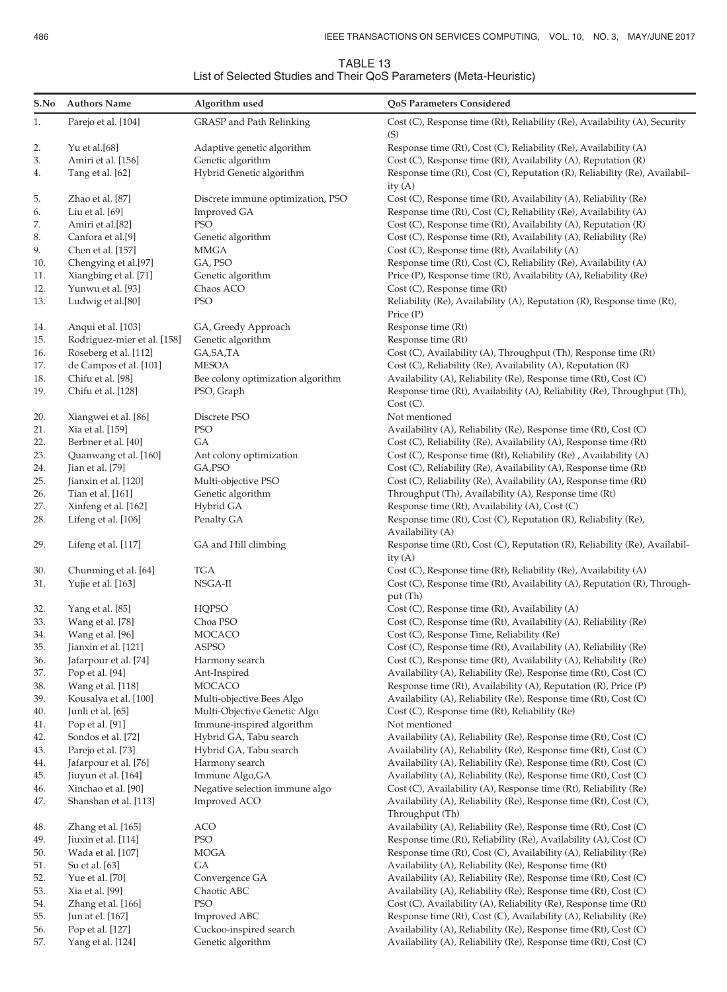| TABLE 13                                                           |  |
|--------------------------------------------------------------------|--|
| List of Selected Studies and Their QoS Parameters (Meta-Heuristic) |  |

| S.No       | <b>Authors Name</b>                        | Algorithm used                                    | QoS Parameters Considered                                                                                                            |
|------------|--------------------------------------------|---------------------------------------------------|--------------------------------------------------------------------------------------------------------------------------------------|
| 1.         | Parejo et al. [104]                        | GRASP and Path Relinking                          | Cost (C), Response time (Rt), Reliability (Re), Availability (A), Security<br>(S)                                                    |
| 2.<br>3.   | Yu et al.[68]<br>Amiri et al. [156]        | Adaptive genetic algorithm<br>Genetic algorithm   | Response time (Rt), Cost (C), Reliability (Re), Availability (A)<br>Cost (C), Response time (Rt), Availability (A), Reputation (R)   |
| 4.         | Tang et al. [62]                           | Hybrid Genetic algorithm                          | Response time (Rt), Cost (C), Reputation (R), Reliability (Re), Availabil-<br>ity $(A)$                                              |
| 5.         | Zhao et al. [87]                           | Discrete immune optimization, PSO                 | Cost (C), Response time (Rt), Availability (A), Reliability (Re)                                                                     |
| 6.         | Liu et al. $[69]$                          | Improved GA                                       | Response time (Rt), Cost (C), Reliability (Re), Availability (A)                                                                     |
| 7.         | Amiri et al.[82]                           | <b>PSO</b>                                        | Cost (C), Response time (Rt), Availability (A), Reputation (R)                                                                       |
| 8.         | Canfora et al.[9]                          | Genetic algorithm                                 | Cost (C), Response time (Rt), Availability (A), Reliability (Re)                                                                     |
| 9.         | Chen et al. [157]                          | MMGA                                              | Cost (C), Response time (Rt), Availability (A)                                                                                       |
| 10.        | Chengying et al.[97]                       | GA, PSO                                           | Response time (Rt), Cost (C), Reliability (Re), Availability (A)                                                                     |
| 11.        | Xiangbing et al. [71]                      | Genetic algorithm                                 | Price (P), Response time (Rt), Availability (A), Reliability (Re)                                                                    |
| 12.        | Yunwu et al. [93]                          | Chaos ACO                                         | Cost (C), Response time (Rt)                                                                                                         |
| 13.        | Ludwig et al.[80]                          | PSO                                               | Reliability (Re), Availability (A), Reputation (R), Response time (Rt),<br>Price (P)                                                 |
| 14.        | Anqui et al. [103]                         | GA, Greedy Approach                               | Response time (Rt)                                                                                                                   |
| 15.        | Rodriguez-mier et al. [158]                | Genetic algorithm                                 | Response time (Rt)                                                                                                                   |
| 16.        | Roseberg et al. [112]                      | GA, SA, TA                                        | Cost (C), Availability (A), Throughput (Th), Response time (Rt)                                                                      |
| 17.        | de Campos et al. [101]                     | <b>MESOA</b>                                      | Cost (C), Reliability (Re), Availability (A), Reputation (R)                                                                         |
| 18.        | Chifu et al. [98]                          | Bee colony optimization algorithm                 | Availability (A), Reliability (Re), Response time (Rt), Cost (C)                                                                     |
| 19.        | Chifu et al. [128]                         | PSO, Graph                                        | Response time (Rt), Availability (A), Reliability (Re), Throughput (Th),<br>Cost (C).                                                |
| 20.        | Xiangwei et al. [86]                       | Discrete PSO                                      | Not mentioned                                                                                                                        |
| 21.        | Xia et al. [159]                           | <b>PSO</b>                                        | Availability (A), Reliability (Re), Response time (Rt), Cost (C)                                                                     |
| 22.        | Berbner et al. [40]                        | GA                                                | Cost (C), Reliability (Re), Availability (A), Response time (Rt)                                                                     |
| 23.        | Quanwang et al. [160]                      | Ant colony optimization                           | Cost (C), Response time (Rt), Reliability (Re), Availability (A)                                                                     |
| 24.        | Jian et al. [79]                           | GA, PSO                                           | Cost (C), Reliability (Re), Availability (A), Response time (Rt)                                                                     |
| 25.        | Jianxin et al. [120]                       | Multi-objective PSO                               | Cost (C), Reliability (Re), Availability (A), Response time (Rt)                                                                     |
| 26.        | Tian et al. [161]                          | Genetic algorithm                                 | Throughput (Th), Availability (A), Response time (Rt)                                                                                |
| 27.        | Xinfeng et al. [162]                       | Hybrid GA                                         | Response time (Rt), Availability (A), Cost (C)                                                                                       |
| 28.        | Lifeng et al. [106]                        | Penalty GA                                        | Response time (Rt), Cost (C), Reputation (R), Reliability (Re),<br>Availability (A)                                                  |
| 29.        | Lifeng et al. [117]                        | GA and Hill climbing                              | Response time (Rt), Cost (C), Reputation (R), Reliability (Re), Availabil-<br>ity $(A)$                                              |
| 30.        | Chunming et al. [64]                       | <b>TGA</b>                                        | Cost (C), Response time (Rt), Reliability (Re), Availability (A)                                                                     |
| 31.        | Yujie et al. [163]                         | NSGA-II                                           | Cost (C), Response time (Rt), Availability (A), Reputation (R), Through-<br>put (Th)                                                 |
| 32.        | Yang et al. [85]                           | <b>HQPSO</b>                                      | Cost (C), Response time (Rt), Availability (A)                                                                                       |
| 33.        | Wang et al. [78]                           | Choa PSO                                          | Cost (C), Response time (Rt), Availability (A), Reliability (Re)                                                                     |
| 34.        | Wang et al. [96]                           | MOCACO                                            | Cost (C), Response Time, Reliability (Re)                                                                                            |
| 35.        | Jianxin et al. [121]                       | <b>ASPSO</b>                                      | Cost (C), Response time (Rt), Availability (A), Reliability (Re)                                                                     |
| 36.        | Jafarpour et al. [74]                      | Harmony search                                    | Cost (C), Response time (Rt), Availability (A), Reliability (Re)                                                                     |
| 37.        | Pop et al. [94]                            | Ant-Inspired                                      | Availability (A), Reliability (Re), Response time (Rt), Cost (C)                                                                     |
| 38.        | Wang et al. [118]                          | MOCACO                                            | Response time (Rt), Availability (A), Reputation (R), Price (P)                                                                      |
| 39.        | Kousalya et al. [100]                      | Multi-objective Bees Algo                         | Availability (A), Reliability (Re), Response time (Rt), Cost (C)                                                                     |
| 40.        | Junli et al. [65]                          | Multi-Objective Genetic Algo                      | Cost (C), Response time (Rt), Reliability (Re)                                                                                       |
| 41.        | Pop et al. [91]                            | Immune-inspired algorithm                         | Not mentioned                                                                                                                        |
| 42.        | Sondos et al. [72]                         | Hybrid GA, Tabu search                            | Availability (A), Reliability (Re), Response time (Rt), Cost (C)                                                                     |
| 43.        | Parejo et al. [73]                         | Hybrid GA, Tabu search                            | Availability (A), Reliability (Re), Response time (Rt), Cost (C)                                                                     |
| 44.        | Jafarpour et al. [76]                      | Harmony search                                    | Availability (A), Reliability (Re), Response time (Rt), Cost (C)                                                                     |
| 45.        | Jiuyun et al. [164]<br>Xinchao et al. [90] | Immune Algo, GA<br>Negative selection immune algo | Availability (A), Reliability (Re), Response time (Rt), Cost (C)<br>Cost (C), Availability (A), Response time (Rt), Reliability (Re) |
| 46.<br>47. | Shanshan et al. [113]                      | Improved ACO                                      | Availability (A), Reliability (Re), Response time (Rt), Cost (C),                                                                    |
|            |                                            |                                                   | Throughput (Th)                                                                                                                      |
| 48.        | Zhang et al. [165]                         | ACO                                               | Availability (A), Reliability (Re), Response time (Rt), Cost (C)                                                                     |
| 49.        | Jiuxin et al. [114]                        | PSO                                               | Response time (Rt), Reliability (Re), Availability (A), Cost (C)                                                                     |
| 50.        | Wada et al. [107]                          | MOGA                                              | Response time (Rt), Cost (C), Availability (A), Reliability (Re)                                                                     |
| 51.        | Su et al. [63]                             | GА                                                | Availability (A), Reliability (Re), Response time (Rt)                                                                               |
| 52.        | Yue et al. [70]                            | Convergence GA                                    | Availability (A), Reliability (Re), Response time (Rt), Cost (C)                                                                     |
| 53.        | Xia et al. [99]                            | Chaotic ABC                                       | Availability (A), Reliability (Re), Response time (Rt), Cost (C)                                                                     |
| 54.        | Zhang et al. [166]                         | <b>PSO</b>                                        | Cost (C), Availability (A), Reliability (Re), Response time (Rt)                                                                     |
| 55.        | Jun at el. [167]                           | Improved ABC                                      | Response time (Rt), Cost (C), Availability (A), Reliability (Re)                                                                     |
| 56.        | Pop et al. [127]                           | Cuckoo-inspired search                            | Availability (A), Reliability (Re), Response time (Rt), Cost (C)                                                                     |
| 57.        | Yang et al. [124]                          | Genetic algorithm                                 | Availability (A), Reliability (Re), Response time (Rt), Cost (C)                                                                     |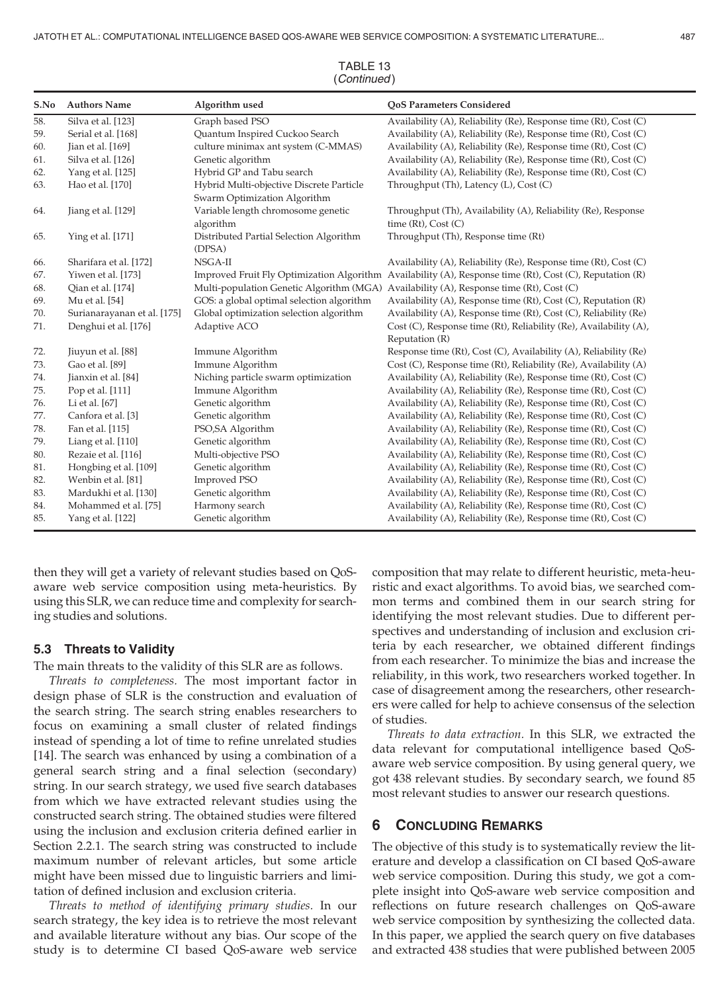| S.No | <b>Authors Name</b>         | Algorithm used                                                           | <b>OoS Parameters Considered</b>                                                                         |  |  |
|------|-----------------------------|--------------------------------------------------------------------------|----------------------------------------------------------------------------------------------------------|--|--|
| 58.  | Silva et al. [123]          | Graph based PSO                                                          | Availability (A), Reliability (Re), Response time (Rt), Cost (C)                                         |  |  |
| 59.  | Serial et al. [168]         | Quantum Inspired Cuckoo Search                                           | Availability (A), Reliability (Re), Response time (Rt), Cost (C)                                         |  |  |
| 60.  | Jian et al. [169]           | culture minimax ant system (C-MMAS)                                      | Availability (A), Reliability (Re), Response time (Rt), Cost (C)                                         |  |  |
| 61.  | Silva et al. [126]          | Genetic algorithm                                                        | Availability (A), Reliability (Re), Response time (Rt), Cost (C)                                         |  |  |
| 62.  | Yang et al. [125]           | Hybrid GP and Tabu search                                                | Availability (A), Reliability (Re), Response time (Rt), Cost (C)                                         |  |  |
| 63.  | Hao et al. [170]            | Hybrid Multi-objective Discrete Particle<br>Swarm Optimization Algorithm | Throughput (Th), Latency (L), Cost (C)                                                                   |  |  |
| 64.  | Jiang et al. [129]          | Variable length chromosome genetic                                       | Throughput (Th), Availability (A), Reliability (Re), Response                                            |  |  |
|      |                             | algorithm                                                                | time $(Rt)$ , Cost $(C)$                                                                                 |  |  |
| 65.  | Ying et al. [171]           | Distributed Partial Selection Algorithm<br>(DPSA)                        | Throughput (Th), Response time (Rt)                                                                      |  |  |
| 66.  | Sharifara et al. [172]      | NSGA-II                                                                  | Availability (A), Reliability (Re), Response time (Rt), Cost (C)                                         |  |  |
| 67.  | Yiwen et al. [173]          |                                                                          | Improved Fruit Fly Optimization Algorithm Availability (A), Response time (Rt), Cost (C), Reputation (R) |  |  |
| 68.  | Qian et al. [174]           |                                                                          | Multi-population Genetic Algorithm (MGA) Availability (A), Response time (Rt), Cost (C)                  |  |  |
| 69.  | Mu et al. [54]              | GOS: a global optimal selection algorithm                                | Availability (A), Response time (Rt), Cost (C), Reputation (R)                                           |  |  |
| 70.  | Surianarayanan et al. [175] | Global optimization selection algorithm                                  | Availability (A), Response time (Rt), Cost (C), Reliability (Re)                                         |  |  |
| 71.  | Denghui et al. [176]        | Adaptive ACO                                                             | Cost (C), Response time (Rt), Reliability (Re), Availability (A),<br>Reputation (R)                      |  |  |
| 72.  | Jiuyun et al. [88]          | Immune Algorithm                                                         | Response time (Rt), Cost (C), Availability (A), Reliability (Re)                                         |  |  |
| 73.  | Gao et al. [89]             | Immune Algorithm                                                         | Cost (C), Response time (Rt), Reliability (Re), Availability (A)                                         |  |  |
| 74.  | Jianxin et al. [84]         | Niching particle swarm optimization                                      | Availability (A), Reliability (Re), Response time (Rt), Cost (C)                                         |  |  |
| 75.  | Pop et al. [111]            | Immune Algorithm                                                         | Availability (A), Reliability (Re), Response time (Rt), Cost (C)                                         |  |  |
| 76.  | Li et al. [67]              | Genetic algorithm                                                        | Availability (A), Reliability (Re), Response time (Rt), Cost (C)                                         |  |  |
| 77.  | Canfora et al. [3]          | Genetic algorithm                                                        | Availability (A), Reliability (Re), Response time (Rt), Cost (C)                                         |  |  |
| 78.  | Fan et al. [115]            | PSO, SA Algorithm                                                        | Availability (A), Reliability (Re), Response time (Rt), Cost (C)                                         |  |  |
| 79.  | Liang et al. [110]          | Genetic algorithm                                                        | Availability (A), Reliability (Re), Response time (Rt), Cost (C)                                         |  |  |
| 80.  | Rezaie et al. [116]         | Multi-objective PSO                                                      | Availability (A), Reliability (Re), Response time (Rt), Cost (C)                                         |  |  |
| 81.  | Hongbing et al. [109]       | Genetic algorithm                                                        | Availability (A), Reliability (Re), Response time (Rt), Cost (C)                                         |  |  |
| 82.  | Wenbin et al. [81]          | <b>Improved PSO</b>                                                      | Availability (A), Reliability (Re), Response time (Rt), Cost (C)                                         |  |  |
| 83.  | Mardukhi et al. [130]       | Genetic algorithm                                                        | Availability (A), Reliability (Re), Response time (Rt), Cost (C)                                         |  |  |
| 84.  | Mohammed et al. [75]        | Harmony search                                                           | Availability (A), Reliability (Re), Response time (Rt), Cost (C)                                         |  |  |
| 85.  | Yang et al. [122]           | Genetic algorithm                                                        | Availability (A), Reliability (Re), Response time (Rt), Cost (C)                                         |  |  |

TABLE 13 (Continued )

then they will get a variety of relevant studies based on QoSaware web service composition using meta-heuristics. By using this SLR, we can reduce time and complexity for searching studies and solutions.

#### 5.3 Threats to Validity

The main threats to the validity of this SLR are as follows.

Threats to completeness. The most important factor in design phase of SLR is the construction and evaluation of the search string. The search string enables researchers to focus on examining a small cluster of related findings instead of spending a lot of time to refine unrelated studies [14]. The search was enhanced by using a combination of a general search string and a final selection (secondary) string. In our search strategy, we used five search databases from which we have extracted relevant studies using the constructed search string. The obtained studies were filtered using the inclusion and exclusion criteria defined earlier in Section 2.2.1. The search string was constructed to include maximum number of relevant articles, but some article might have been missed due to linguistic barriers and limitation of defined inclusion and exclusion criteria.

Threats to method of identifying primary studies. In our search strategy, the key idea is to retrieve the most relevant and available literature without any bias. Our scope of the study is to determine CI based QoS-aware web service

composition that may relate to different heuristic, meta-heuristic and exact algorithms. To avoid bias, we searched common terms and combined them in our search string for identifying the most relevant studies. Due to different perspectives and understanding of inclusion and exclusion criteria by each researcher, we obtained different findings from each researcher. To minimize the bias and increase the reliability, in this work, two researchers worked together. In case of disagreement among the researchers, other researchers were called for help to achieve consensus of the selection of studies.

Threats to data extraction. In this SLR, we extracted the data relevant for computational intelligence based QoSaware web service composition. By using general query, we got 438 relevant studies. By secondary search, we found 85 most relevant studies to answer our research questions.

## 6 CONCLUDING REMARKS

The objective of this study is to systematically review the literature and develop a classification on CI based QoS-aware web service composition. During this study, we got a complete insight into QoS-aware web service composition and reflections on future research challenges on QoS-aware web service composition by synthesizing the collected data. In this paper, we applied the search query on five databases and extracted 438 studies that were published between 2005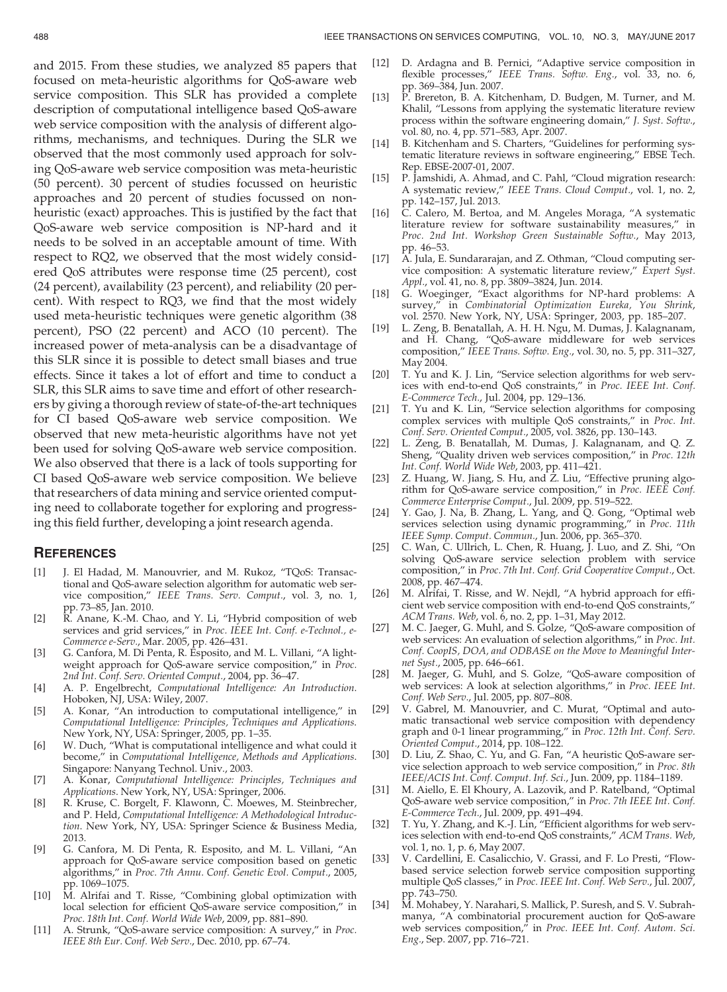and 2015. From these studies, we analyzed 85 papers that focused on meta-heuristic algorithms for QoS-aware web service composition. This SLR has provided a complete description of computational intelligence based QoS-aware web service composition with the analysis of different algorithms, mechanisms, and techniques. During the SLR we observed that the most commonly used approach for solving QoS-aware web service composition was meta-heuristic (50 percent). 30 percent of studies focussed on heuristic approaches and 20 percent of studies focussed on nonheuristic (exact) approaches. This is justified by the fact that QoS-aware web service composition is NP-hard and it needs to be solved in an acceptable amount of time. With respect to RQ2, we observed that the most widely considered QoS attributes were response time (25 percent), cost (24 percent), availability (23 percent), and reliability (20 percent). With respect to RQ3, we find that the most widely used meta-heuristic techniques were genetic algorithm (38 percent), PSO (22 percent) and ACO (10 percent). The increased power of meta-analysis can be a disadvantage of this SLR since it is possible to detect small biases and true effects. Since it takes a lot of effort and time to conduct a SLR, this SLR aims to save time and effort of other researchers by giving a thorough review of state-of-the-art techniques for CI based QoS-aware web service composition. We observed that new meta-heuristic algorithms have not yet been used for solving QoS-aware web service composition. We also observed that there is a lack of tools supporting for CI based QoS-aware web service composition. We believe that researchers of data mining and service oriented computing need to collaborate together for exploring and progressing this field further, developing a joint research agenda.

#### **REFERENCES**

- [1] J. El Hadad, M. Manouvrier, and M. Rukoz, "TQoS: Transactional and QoS-aware selection algorithm for automatic web service composition," IEEE Trans. Serv. Comput., vol. 3, no. 1, pp. 73–85, Jan. 2010.
- [2] R. Anane, K.-M. Chao, and Y. Li, "Hybrid composition of web services and grid services," in Proc. IEEE Int. Conf. e-Technol., e-Commerce e-Serv., Mar. 2005, pp. 426–431.
- [3] G. Canfora, M. Di Penta, R. Esposito, and M. L. Villani, "A lightweight approach for QoS-aware service composition," in Proc. 2nd Int. Conf. Serv. Oriented Comput., 2004, pp. 36–47.
- [4] A. P. Engelbrecht, Computational Intelligence: An Introduction. Hoboken, NJ, USA: Wiley, 2007.
- [5] A. Konar, "An introduction to computational intelligence," in Computational Intelligence: Principles, Techniques and Applications. New York, NY, USA: Springer, 2005, pp. 1–35.
- [6] W. Duch, "What is computational intelligence and what could it become," in Computational Intelligence, Methods and Applications. Singapore: Nanyang Technol. Univ., 2003.
- [7] A. Konar, Computational Intelligence: Principles, Techniques and Applications. New York, NY, USA: Springer, 2006.
- [8] R. Kruse, C. Borgelt, F. Klawonn, C. Moewes, M. Steinbrecher, and P. Held, Computational Intelligence: A Methodological Introduction. New York, NY, USA: Springer Science & Business Media, 2013.
- [9] G. Canfora, M. Di Penta, R. Esposito, and M. L. Villani, "An approach for QoS-aware service composition based on genetic algorithms," in Proc. 7th Annu. Conf. Genetic Evol. Comput., 2005, pp. 1069–1075.
- [10] M. Alrifai and T. Risse, "Combining global optimization with local selection for efficient QoS-aware service composition," in Proc. 18th Int. Conf. World Wide Web, 2009, pp. 881–890.
- [11] A. Strunk, "QoS-aware service composition: A survey," in Proc. IEEE 8th Eur. Conf. Web Serv., Dec. 2010, pp. 67–74.
- [12] D. Ardagna and B. Pernici, "Adaptive service composition in flexible processes," IEEE Trans. Softw. Eng., vol. 33, no. 6, pp. 369–384, Jun. 2007.
- [13] P. Brereton, B. A. Kitchenham, D. Budgen, M. Turner, and M. Khalil, "Lessons from applying the systematic literature review process within the software engineering domain," J. Syst. Softw., vol. 80, no. 4, pp. 571–583, Apr. 2007.
- [14] B. Kitchenham and S. Charters, "Guidelines for performing systematic literature reviews in software engineering," EBSE Tech. Rep. EBSE-2007-01, 2007.
- [15] P. Jamshidi, A. Ahmad, and C. Pahl, "Cloud migration research: A systematic review," IEEE Trans. Cloud Comput., vol. 1, no. 2, pp. 142–157, Jul. 2013.
- [16] C. Calero, M. Bertoa, and M. Angeles Moraga, "A systematic literature review for software sustainability measures." in literature review for software sustainability measures," Proc. 2nd Int. Workshop Green Sustainable Softw., May 2013, pp. 46–53.
- [17] A. Jula, E. Sundararajan, and Z. Othman, "Cloud computing service composition: A systematic literature review," Expert Syst. Appl., vol. 41, no. 8, pp. 3809–3824, Jun. 2014.
- [18] G. Woeginger, "Exact algorithms for NP-hard problems: A survey," in Combinatorial Optimization Eureka, You Shrink, vol. 2570. New York, NY, USA: Springer, 2003, pp. 185–207.
- [19] L. Zeng, B. Benatallah, A. H. H. Ngu, M. Dumas, J. Kalagnanam, and H. Chang, "QoS-aware middleware for web services composition," IEEE Trans. Softw. Eng., vol. 30, no. 5, pp. 311–327, May 2004.
- [20] T. Yu and K. J. Lin, "Service selection algorithms for web services with end-to-end QoS constraints," in Proc. IEEE Int. Conf. E-Commerce Tech., Jul. 2004, pp. 129–136.
- [21] T. Yu and K. Lin, "Service selection algorithms for composing complex services with multiple QoS constraints," in Proc. Int. Conf. Serv. Oriented Comput., 2005, vol. 3826, pp. 130–143.
- [22] L. Zeng, B. Benatallah, M. Dumas, J. Kalagnanam, and Q. Z. Sheng, "Quality driven web services composition," in Proc. 12th Int. Conf. World Wide Web, 2003, pp. 411–421.
- [23] Z. Huang, W. Jiang, S. Hu, and Z. Liu, "Effective pruning algorithm for QoS-aware service composition," in Proc. IEEE Conf. Commerce Enterprise Comput., Jul. 2009, pp. 519–522.
- [24] Y. Gao, J. Na, B. Zhang, L. Yang, and Q. Gong, "Optimal web services selection using dynamic programming," in Proc. 11th IEEE Symp. Comput. Commun., Jun. 2006, pp. 365–370.
- [25] C. Wan, C. Ullrich, L. Chen, R. Huang, J. Luo, and Z. Shi, "On solving QoS-aware service selection problem with service composition," in Proc. 7th Int. Conf. Grid Cooperative Comput., Oct. 2008, pp. 467–474.
- [26] M. Alrifai, T. Risse, and W. Nejdl, "A hybrid approach for efficient web service composition with end-to-end QoS constraints," ACM Trans. Web, vol. 6, no. 2, pp. 1–31, May 2012.
- [27] M. C. Jaeger, G. Muhl, and S. Golze, "QoS-aware composition of web services: An evaluation of selection algorithms," in Proc. Int. Conf. CoopIS, DOA, and ODBASE on the Move to Meaningful Internet Syst., 2005, pp. 646–661.
- [28] M. Jaeger, G. Muhl, and S. Golze, "QoS-aware composition of web services: A look at selection algorithms," in Proc. IEEE Int. Conf. Web Serv., Jul. 2005, pp. 807–808.
- [29] V. Gabrel, M. Manouvrier, and C. Murat, "Optimal and automatic transactional web service composition with dependency graph and 0-1 linear programming," in Proc. 12th Int. Conf. Serv. Oriented Comput., 2014, pp. 108–122.
- [30] D. Liu, Z. Shao, C. Yu, and G. Fan, "A heuristic QoS-aware service selection approach to web service composition," in Proc. 8th IEEE/ACIS Int. Conf. Comput. Inf. Sci., Jun. 2009, pp. 1184–1189.
- [31] M. Aiello, E. El Khoury, A. Lazovik, and P. Ratelband, "Optimal QoS-aware web service composition," in Proc. 7th IEEE Int. Conf. E-Commerce Tech., Jul. 2009, pp. 491–494.
- [32] T. Yu, Y. Zhang, and K.-J. Lin, "Efficient algorithms for web services selection with end-to-end QoS constraints," ACM Trans. Web, vol. 1, no. 1, p. 6, May 2007.
- [33] V. Cardellini, E. Casalicchio, V. Grassi, and F. Lo Presti, "Flowbased service selection forweb service composition supporting multiple QoS classes," in Proc. IEEE Int. Conf. Web Serv., Jul. 2007, pp. 743–750.
- [34] M. Mohabey, Y. Narahari, S. Mallick, P. Suresh, and S. V. Subrahmanya, "A combinatorial procurement auction for QoS-aware web services composition," in Proc. IEEE Int. Conf. Autom. Sci. Eng., Sep. 2007, pp. 716–721.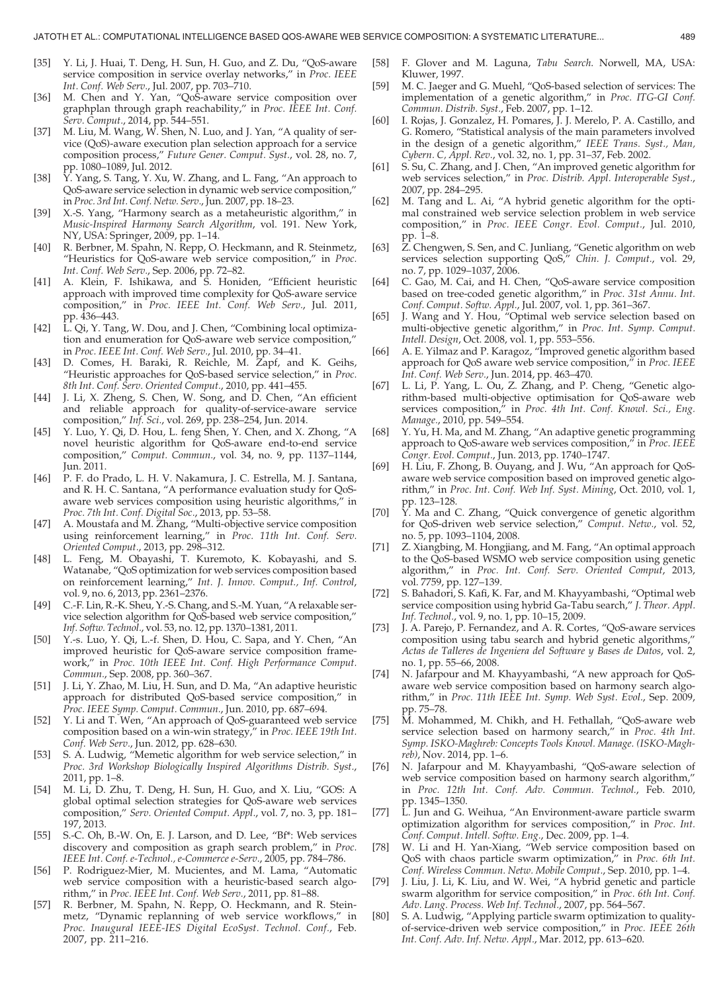- [35] Y. Li, J. Huai, T. Deng, H. Sun, H. Guo, and Z. Du, "QoS-aware service composition in service overlay networks," in Proc. IEEE Int. Conf. Web Serv., Jul. 2007, pp. 703–710.
- [36] M. Chen and Y. Yan, "QoS-aware service composition over graphplan through graph reachability," in Proc. IEEE Int. Conf. Serv. Comput., 2014, pp. 544–551.
- [37] M. Liu, M. Wang, W. Shen, N. Luo, and J. Yan, "A quality of service (QoS)-aware execution plan selection approach for a service composition process," Future Gener. Comput. Syst., vol. 28, no. 7, pp. 1080–1089, Jul. 2012.
- [38] Y. Yang, S. Tang, Y. Xu, W. Zhang, and L. Fang, "An approach to QoS-aware service selection in dynamic web service composition," in Proc. 3rd Int. Conf. Netw. Serv., Jun. 2007, pp. 18–23.
- [39] X.-S. Yang, "Harmony search as a metaheuristic algorithm," in Music-Inspired Harmony Search Algorithm, vol. 191. New York, NY, USA: Springer, 2009, pp. 1–14.
- [40] R. Berbner, M. Spahn, N. Repp, O. Heckmann, and R. Steinmetz, "Heuristics for QoS-aware web service composition," in Proc. Int. Conf. Web Serv., Sep. 2006, pp. 72–82.
- [41] A. Klein, F. Ishikawa, and S. Honiden, "Efficient heuristic approach with improved time complexity for QoS-aware service composition," in Proc. IEEE Int. Conf. Web Serv., Jul. 2011, pp. 436–443.
- [42] L. Qi, Y. Tang, W. Dou, and J. Chen, "Combining local optimization and enumeration for QoS-aware web service composition," in Proc. IEEE Int. Conf. Web Serv., Jul. 2010, pp. 34–41.
- [43] D. Comes, H. Baraki, R. Reichle, M. Zapf, and K. Geihs, "Heuristic approaches for QoS-based service selection," in Proc. 8th Int. Conf. Serv. Oriented Comput., 2010, pp. 441–455.
- [44] J. Li, X. Zheng, S. Chen, W. Song, and D. Chen, "An efficient and reliable approach for quality-of-service-aware service composition," Inf. Sci., vol. 269, pp. 238–254, Jun. 2014.
- [45] Y. Luo, Y. Qi, D. Hou, L. feng Shen, Y. Chen, and X. Zhong, "A novel heuristic algorithm for QoS-aware end-to-end service composition," Comput. Commun., vol. 34, no. 9, pp. 1137–1144, Jun. 2011.
- [46] P. F. do Prado, L. H. V. Nakamura, J. C. Estrella, M. J. Santana, and R. H. C. Santana, "A performance evaluation study for QoSaware web services composition using heuristic algorithms," in Proc. 7th Int. Conf. Digital Soc., 2013, pp. 53–58.
- [47] A. Moustafa and M. Zhang, "Multi-objective service composition using reinforcement learning," in Proc. 11th Int. Conf. Serv. Oriented Comput., 2013, pp. 298–312.
- [48] L. Feng, M. Obayashi, T. Kuremoto, K. Kobayashi, and S. Watanabe, "QoS optimization for web services composition based on reinforcement learning," Int. J. Innov. Comput., Inf. Control, vol. 9, no. 6, 2013, pp. 2361–2376.
- [49] C.-F. Lin, R.-K. Sheu, Y.-S. Chang, and S.-M. Yuan, "A relaxable service selection algorithm for QoS-based web service composition," Inf. Softw. Technol., vol. 53, no. 12, pp. 1370–1381, 2011.
- [50] Y.-s. Luo, Y. Qi, L.-f. Shen, D. Hou, C. Sapa, and Y. Chen, "An improved heuristic for QoS-aware service composition framework," in Proc. 10th IEEE Int. Conf. High Performance Comput. Commun., Sep. 2008, pp. 360–367.
- [51] J. Li, Y. Zhao, M. Liu, H. Sun, and D. Ma, "An adaptive heuristic approach for distributed QoS-based service composition," in Proc. IEEE Symp. Comput. Commun., Jun. 2010, pp. 687–694.
- [52] Y. Li and T. Wen, "An approach of QoS-guaranteed web service composition based on a win-win strategy," in Proc. IEEE 19th Int. Conf. Web Serv., Jun. 2012, pp. 628–630.
- [53] S. A. Ludwig, "Memetic algorithm for web service selection," in Proc. 3rd Workshop Biologically Inspired Algorithms Distrib. Syst., 2011, pp. 1–8.
- [54] M. Li, D. Zhu, T. Deng, H. Sun, H. Guo, and X. Liu, "GOS: A global optimal selection strategies for QoS-aware web services composition," Serv. Oriented Comput. Appl., vol. 7, no. 3, pp. 181– 197, 2013.
- [55] S.-C. Oh, B.-W. On, E. J. Larson, and D. Lee, "Bf\*: Web services discovery and composition as graph search problem," in Proc. IEEE Int. Conf. e-Technol., e-Commerce e-Serv., 2005, pp. 784–786.
- [56] P. Rodriguez-Mier, M. Mucientes, and M. Lama, "Automatic web service composition with a heuristic-based search algorithm," in Proc. IEEE Int. Conf. Web Serv., 2011, pp. 81–88.
- [57] R. Berbner, M. Spahn, N. Repp, O. Heckmann, and R. Steinmetz, "Dynamic replanning of web service workflows," in Proc. Inaugural IEEE-IES Digital EcoSyst. Technol. Conf., Feb. 2007, pp. 211–216.
- [58] F. Glover and M. Laguna, Tabu Search. Norwell, MA, USA: Kluwer, 1997.
- [59] M. C. Jaeger and G. Muehl, "QoS-based selection of services: The implementation of a genetic algorithm," in Proc. ITG-GI Conf. Commun. Distrib. Syst., Feb. 2007, pp. 1–12.
- [60] I. Rojas, J. Gonzalez, H. Pomares, J. J. Merelo, P. A. Castillo, and G. Romero, "Statistical analysis of the main parameters involved in the design of a genetic algorithm," IEEE Trans. Syst., Man, Cybern. C, Appl. Rev., vol. 32, no. 1, pp. 31–37, Feb. 2002.
- [61] S. Su, C. Zhang, and J. Chen, "An improved genetic algorithm for web services selection," in Proc. Distrib. Appl. Interoperable Syst., 2007, pp. 284–295.
- [62] M. Tang and L. Ai, "A hybrid genetic algorithm for the optimal constrained web service selection problem in web service composition," in Proc. IEEE Congr. Evol. Comput., Jul. 2010, pp. 1–8.
- [63] Z. Chengwen, S. Sen, and C. Junliang, "Genetic algorithm on web services selection supporting QoS," Chin. J. Comput., vol. 29, no. 7, pp. 1029–1037, 2006.
- [64] C. Gao, M. Cai, and H. Chen, "QoS-aware service composition based on tree-coded genetic algorithm," in Proc. 31st Annu. Int. Conf. Comput. Softw. Appl., Jul. 2007, vol. 1, pp. 361–367.
- [65] J. Wang and Y. Hou, "Optimal web service selection based on multi-objective genetic algorithm," in Proc. Int. Symp. Comput. Intell. Design, Oct. 2008, vol. 1, pp. 553–556.
- [66] A. E. Yilmaz and P. Karagoz, "Improved genetic algorithm based approach for QoS aware web service composition," in Proc. IEEE Int. Conf. Web Serv., Jun. 2014, pp. 463–470.
- [67] L. Li, P. Yang, L. Ou, Z. Zhang, and P. Cheng, "Genetic algorithm-based multi-objective optimisation for QoS-aware web services composition," in Proc. 4th Int. Conf. Knowl. Sci., Eng. Manage., 2010, pp. 549–554.
- Y. Yu, H. Ma, and M. Zhang, "An adaptive genetic programming approach to QoS-aware web services composition," in Proc. IEEE Congr. Evol. Comput., Jun. 2013, pp. 1740–1747.
- [69] H. Liu, F. Zhong, B. Ouyang, and J. Wu, "An approach for QoSaware web service composition based on improved genetic algorithm," in Proc. Int. Conf. Web Inf. Syst. Mining, Oct. 2010, vol. 1, pp. 123–128.
- [70] Y. Ma and C. Zhang, "Quick convergence of genetic algorithm for QoS-driven web service selection," Comput. Netw., vol. 52, no. 5, pp. 1093–1104, 2008.
- [71] Z. Xiangbing, M. Hongjiang, and M. Fang, "An optimal approach to the QoS-based WSMO web service composition using genetic algorithm," in Proc. Int. Conf. Serv. Oriented Comput, 2013, vol. 7759, pp. 127–139.
- [72] S. Bahadori, S. Kafi, K. Far, and M. Khayyambashi, "Optimal web service composition using hybrid Ga-Tabu search," J. Theor. Appl. Inf. Technol., vol. 9, no. 1, pp. 10–15, 2009.
- [73] J. A. Parejo, P. Fernandez, and A. R. Cortes, "QoS-aware services composition using tabu search and hybrid genetic algorithms, Actas de Talleres de Ingeniera del Software y Bases de Datos, vol. 2, no. 1, pp. 55–66, 2008.
- [74] N. Jafarpour and M. Khayyambashi, "A new approach for QoSaware web service composition based on harmony search algorithm," in Proc. 11th IEEE Int. Symp. Web Syst. Evol., Sep. 2009, pp. 75–78.
- [75] M. Mohammed, M. Chikh, and H. Fethallah, "QoS-aware web service selection based on harmony search," in Proc. 4th Int. Symp. ISKO-Maghreb: Concepts Tools Knowl. Manage. (ISKO-Maghreb), Nov. 2014, pp. 1–6.
- [76] N. Jafarpour and M. Khayyambashi, "QoS-aware selection of web service composition based on harmony search algorithm," in Proc. 12th Int. Conf. Adv. Commun. Technol., Feb. 2010, pp. 1345–1350.
- [77] L. Jun and G. Weihua, "An Environment-aware particle swarm optimization algorithm for services composition," in Proc. Int. Conf. Comput. Intell. Softw. Eng., Dec. 2009, pp. 1–4.
- [78] W. Li and H. Yan-Xiang, "Web service composition based on QoS with chaos particle swarm optimization," in Proc. 6th Int. Conf. Wireless Commun. Netw. Mobile Comput., Sep. 2010, pp. 1–4.
- [79] J. Liu, J. Li, K. Liu, and W. Wei, "A hybrid genetic and particle swarm algorithm for service composition," in Proc. 6th Int. Conf. Adv. Lang. Process. Web Inf. Technol., 2007, pp. 564–567.
- [80] S. A. Ludwig, "Applying particle swarm optimization to qualityof-service-driven web service composition," in Proc. IEEE 26th Int. Conf. Adv. Inf. Netw. Appl., Mar. 2012, pp. 613–620.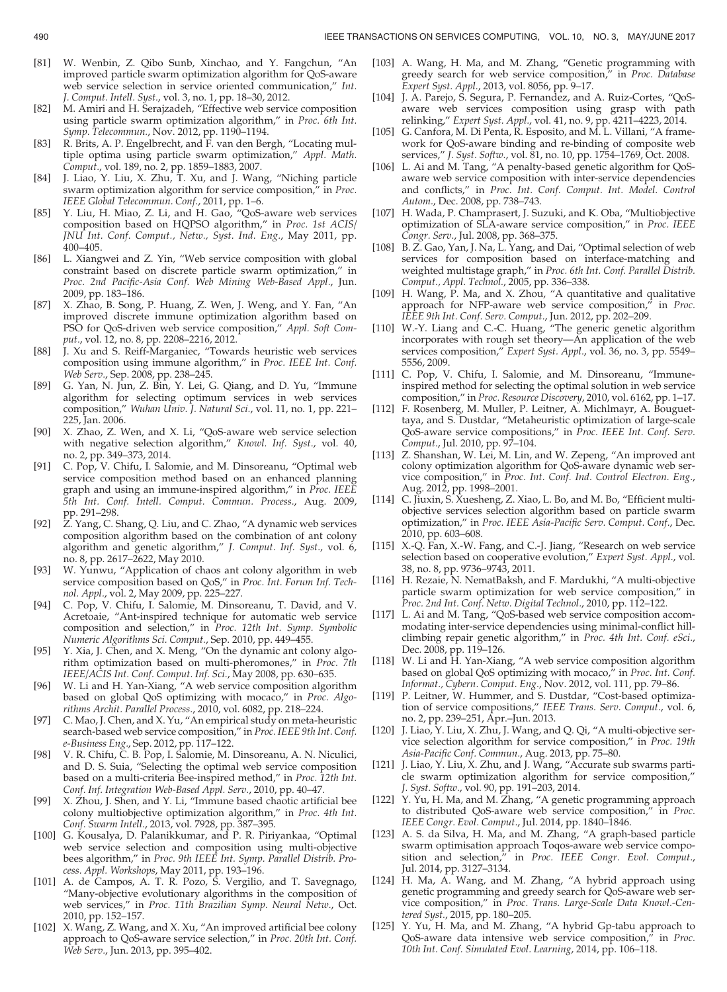- [81] W. Wenbin, Z. Qibo Sunb, Xinchao, and Y. Fangchun, "An improved particle swarm optimization algorithm for QoS-aware web service selection in service oriented communication," Int. J. Comput. Intell. Syst., vol. 3, no. 1, pp. 18–30, 2012.
- [82] M. Amiri and H. Serajzadeh, "Effective web service composition using particle swarm optimization algorithm," in Proc. 6th Int. Symp. Telecommun., Nov. 2012, pp. 1190–1194.
- [83] R. Brits, A. P. Engelbrecht, and F. van den Bergh, "Locating multiple optima using particle swarm optimization," Appl. Math. Comput., vol. 189, no. 2, pp. 1859–1883, 2007.
- [84] J. Liao, Y. Liu, X. Zhu, T. Xu, and J. Wang, "Niching particle swarm optimization algorithm for service composition," in Proc. IEEE Global Telecommun. Conf., 2011, pp. 1–6.
- [85] Y. Liu, H. Miao, Z. Li, and H. Gao, "QoS-aware web services composition based on HQPSO algorithm," in Proc. 1st ACIS/ JNU Int. Conf. Comput., Netw., Syst. Ind. Eng., May 2011, pp. 400–405.
- [86] L. Xiangwei and Z. Yin, "Web service composition with global constraint based on discrete particle swarm optimization," in Proc. 2nd Pacific-Asia Conf. Web Mining Web-Based Appl., Jun. 2009, pp. 183–186.
- [87] X. Zhao, B. Song, P. Huang, Z. Wen, J. Weng, and Y. Fan, "An improved discrete immune optimization algorithm based on PSO for QoS-driven web service composition," Appl. Soft Comput., vol. 12, no. 8, pp. 2208–2216, 2012.
- [88] J. Xu and S. Reiff-Marganiec, "Towards heuristic web services composition using immune algorithm," in Proc. IEEE Int. Conf. Web Serv., Sep. 2008, pp. 238-245.
- [89] G. Yan, N. Jun, Z. Bin, Y. Lei, G. Qiang, and D. Yu, "Immune algorithm for selecting optimum services in web services composition," Wuhan Univ. J. Natural Sci., vol. 11, no. 1, pp. 221– 225, Jan. 2006.
- [90] X. Zhao, Z. Wen, and X. Li, "QoS-aware web service selection with negative selection algorithm," Knowl. Inf. Syst., vol. 40, no. 2, pp. 349–373, 2014.
- [91] C. Pop, V. Chifu, I. Salomie, and M. Dinsoreanu, "Optimal web service composition method based on an enhanced planning graph and using an immune-inspired algorithm," in Proc. IEEE 5th Int. Conf. Intell. Comput. Commun. Process., Aug. 2009, pp. 291–298.
- [92]  $\overline{Z}$ . Yang, C. Shang, Q. Liu, and C. Zhao, "A dynamic web services composition algorithm based on the combination of ant colony algorithm and genetic algorithm," J. Comput. Inf. Syst., vol. 6, no. 8, pp. 2617–2622, May 2010.
- [93] W. Yunwu, "Application of chaos ant colony algorithm in web service composition based on QoS," in Proc. Int. Forum Inf. Technol. Appl., vol. 2, May 2009, pp. 225–227.
- [94] C. Pop, V. Chifu, I. Salomie, M. Dinsoreanu, T. David, and V. Acretoaie, "Ant-inspired technique for automatic web service composition and selection," in Proc. 12th Int. Symp. Symbolic Numeric Algorithms Sci. Comput., Sep. 2010, pp. 449–455.
- [95] Y. Xia, J. Chen, and X. Meng, "On the dynamic ant colony algorithm optimization based on multi-pheromones," in Proc. 7th IEEE/ACIS Int. Conf. Comput. Inf. Sci., May 2008, pp. 630–635.
- [96] W. Li and H. Yan-Xiang, "A web service composition algorithm based on global QoS optimizing with mocaco," in Proc. Algorithms Archit. Parallel Process., 2010, vol. 6082, pp. 218–224.
- [97] C. Mao, J. Chen, and X. Yu, "An empirical study on meta-heuristic search-based web service composition," in Proc. IEEE 9th Int. Conf. e-Business Eng., Sep. 2012, pp. 117–122.
- [98] V. R. Chifu, C. B. Pop, I. Salomie, M. Dinsoreanu, A. N. Niculici, and D. S. Suia, "Selecting the optimal web service composition based on a multi-criteria Bee-inspired method," in Proc. 12th Int. Conf. Inf. Integration Web-Based Appl. Serv., 2010, pp. 40–47.
- [99] X. Zhou, J. Shen, and Y. Li, "Immune based chaotic artificial bee colony multiobjective optimization algorithm," in Proc. 4th Int. Conf. Swarm Intell., 2013, vol. 7928, pp. 387–395.
- [100] G. Kousalya, D. Palanikkumar, and P. R. Piriyankaa, "Optimal web service selection and composition using multi-objective bees algorithm," in Proc. 9th IEEE Int. Symp. Parallel Distrib. Process. Appl. Workshops, May 2011, pp. 193–196.
- [101] A. de Campos, A. T. R. Pozo, S. Vergilio, and T. Savegnago, "Many-objective evolutionary algorithms in the composition of web services," in Proc. 11th Brazilian Symp. Neural Netw., Oct. 2010, pp. 152–157.
- [102] X. Wang, Z. Wang, and X. Xu, "An improved artificial bee colony approach to QoS-aware service selection," in Proc. 20th Int. Conf. Web Serv., Jun. 2013, pp. 395–402.
- [103] A. Wang, H. Ma, and M. Zhang, "Genetic programming with greedy search for web service composition," in Proc. Database Expert Syst. Appl., 2013, vol. 8056, pp. 9–17.
- [104] J. A. Parejo, S. Segura, P. Fernandez, and A. Ruiz-Cortes, "QoSaware web services composition using grasp with path relinking," Expert Syst. Appl., vol. 41, no. 9, pp. 4211–4223, 2014.
- [105] G. Canfora, M. Di Penta, R. Esposito, and M. L. Villani, "A framework for QoS-aware binding and re-binding of composite web services," J. Syst. Softw., vol. 81, no. 10, pp. 1754–1769, Oct. 2008.
- [106] L. Ai and M. Tang, "A penalty-based genetic algorithm for QoSaware web service composition with inter-service dependencies and conflicts," in Proc. Int. Conf. Comput. Int. Model. Control Autom., Dec. 2008, pp. 738–743.
- [107] H. Wada, P. Champrasert, J. Suzuki, and K. Oba, "Multiobjective optimization of SLA-aware service composition," in Proc. IEEE Congr. Serv., Jul. 2008, pp. 368–375.
- [108] B. Z. Gao, Yan, J. Na, L. Yang, and Dai, "Optimal selection of web services for composition based on interface-matching and weighted multistage graph," in Proc. 6th Int. Conf. Parallel Distrib. Comput., Appl. Technol., 2005, pp. 336–338.
- [109] H. Wang, P. Ma, and X. Zhou, "A quantitative and qualitative approach for NFP-aware web service composition," in Proc. IEEE 9th Int. Conf. Serv. Comput., Jun. 2012, pp. 202–209.
- [110] W.-Y. Liang and C.-C. Huang, "The generic genetic algorithm incorporates with rough set theory—An application of the web services composition," Expert Syst. Appl., vol. 36, no. 3, pp. 5549– 5556, 2009.
- [111] C. Pop, V. Chifu, I. Salomie, and M. Dinsoreanu, "Immuneinspired method for selecting the optimal solution in web service composition," in Proc. Resource Discovery, 2010, vol. 6162, pp. 1–17.
- [112] F. Rosenberg, M. Muller, P. Leitner, A. Michlmayr, A. Bouguettaya, and S. Dustdar, "Metaheuristic optimization of large-scale QoS-aware service compositions," in Proc. IEEE Int. Conf. Serv. Comput., Jul. 2010, pp. 97–104.
- [113] Z. Shanshan, W. Lei, M. Lin, and W. Zepeng, "An improved ant colony optimization algorithm for QoS-aware dynamic web service composition," in Proc. Int. Conf. Ind. Control Electron. Eng., Aug. 2012, pp. 1998–2001.
- [114] C. Jiuxin, S. Xuesheng, Z. Xiao, L. Bo, and M. Bo, "Efficient multiobjective services selection algorithm based on particle swarm optimization," in Proc. IEEE Asia-Pacific Serv. Comput. Conf., Dec. 2010, pp. 603–608.
- [115] X.-Q. Fan, X.-W. Fang, and C.-J. Jiang, "Research on web service selection based on cooperative evolution," Expert Syst. Appl., vol. 38, no. 8, pp. 9736–9743, 2011.
- [116] H. Rezaie, N. NematBaksh, and F. Mardukhi, "A multi-objective particle swarm optimization for web service composition," in Proc. 2nd Int. Conf. Netw. Digital Technol., 2010, pp. 112–122.
- [117] L. Ai and M. Tang, "QoS-based web service composition accommodating inter-service dependencies using minimal-conflict hillclimbing repair genetic algorithm," in Proc. 4th Int. Conf. eSci., Dec. 2008, pp. 119-126.
- [118] W. Li and H. Yan-Xiang, "A web service composition algorithm based on global QoS optimizing with mocaco," in Proc. Int. Conf. Informat., Cybern. Comput. Eng., Nov. 2012, vol. 111, pp. 79–86.
- [119] P. Leitner, W. Hummer, and S. Dustdar, "Cost-based optimization of service compositions," IEEE Trans. Serv. Comput., vol. 6, no. 2, pp. 239–251, Apr.–Jun. 2013.
- [120] J. Liao, Y. Liu, X. Zhu, J. Wang, and Q. Qi, "A multi-objective service selection algorithm for service composition," in Proc. 19th Asia-Pacific Conf. Commun., Aug. 2013, pp. 75–80.
- [121] J. Liao, Y. Liu, X. Zhu, and J. Wang, "Accurate sub swarms particle swarm optimization algorithm for service composition," J. Syst. Softw., vol. 90, pp. 191–203, 2014.
- [122] Y. Yu, H. Ma, and M. Zhang, "A genetic programming approach to distributed QoS-aware web service composition," in Proc. IEEE Congr. Evol. Comput., Jul. 2014, pp. 1840–1846.
- [123] A. S. da Silva, H. Ma, and M. Zhang, "A graph-based particle swarm optimisation approach Toqos-aware web service composition and selection," in Proc. IEEE Congr. Evol. Comput., Jul. 2014, pp. 3127–3134.
- [124] H. Ma, A. Wang, and M. Zhang, "A hybrid approach using genetic programming and greedy search for QoS-aware web service composition," in Proc. Trans. Large-Scale Data Knowl.-Centered Syst., 2015, pp. 180–205.
- [125] Y. Yu, H. Ma, and M. Zhang, "A hybrid Gp-tabu approach to QoS-aware data intensive web service composition," in Proc. 10th Int. Conf. Simulated Evol. Learning, 2014, pp. 106–118.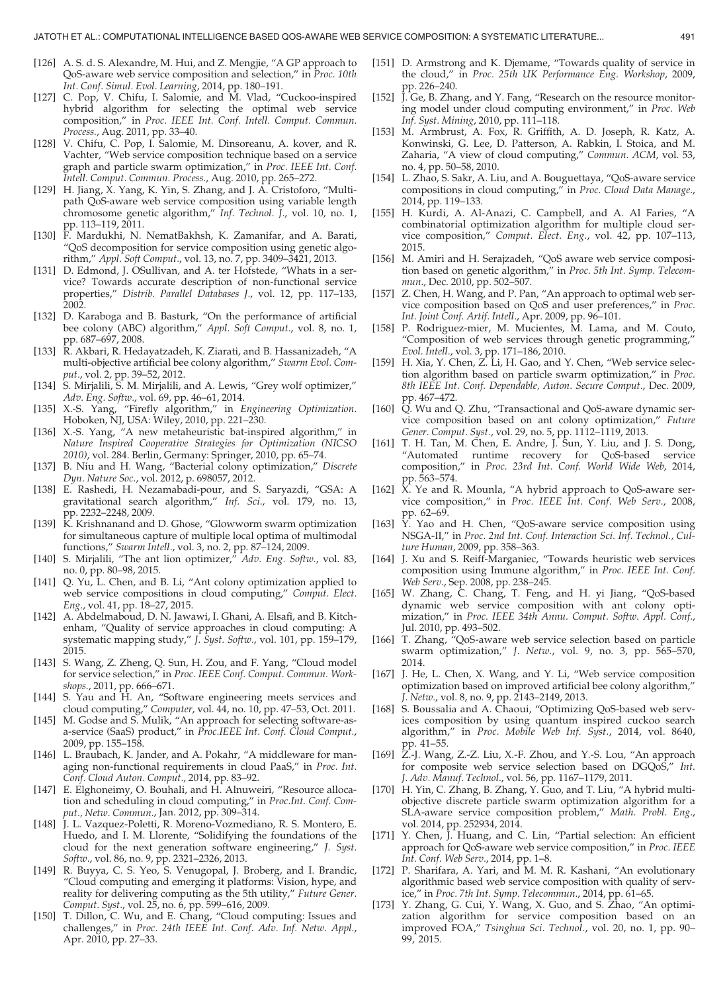- [126] A. S. d. S. Alexandre, M. Hui, and Z. Mengjie, "A GP approach to QoS-aware web service composition and selection," in Proc. 10th Int. Conf. Simul. Evol. Learning, 2014, pp. 180–191.
- [127] C. Pop, V. Chifu, I. Salomie, and M. Vlad, "Cuckoo-inspired hybrid algorithm for selecting the optimal web service composition," in Proc. IEEE Int. Conf. Intell. Comput. Commun. Process., Aug. 2011, pp. 33–40.
- [128] V. Chifu, C. Pop, I. Salomie, M. Dinsoreanu, A. kover, and R. Vachter, "Web service composition technique based on a service graph and particle swarm optimization," in Proc. IEEE Int. Conf. Intell. Comput. Commun. Process., Aug. 2010, pp. 265–272.
- [129] H. Jiang, X. Yang, K. Yin, S. Zhang, and J. A. Cristoforo, "Multipath QoS-aware web service composition using variable length chromosome genetic algorithm," Inf. Technol. J., vol. 10, no. 1, pp. 113–119, 2011.
- [130] F. Mardukhi, N. NematBakhsh, K. Zamanifar, and A. Barati, "QoS decomposition for service composition using genetic algorithm," Appl. Soft Comput., vol. 13, no. 7, pp. 3409–3421, 2013.
- [131] D. Edmond, J. OSullivan, and A. ter Hofstede, "Whats in a service? Towards accurate description of non-functional service properties," Distrib. Parallel Databases J., vol. 12, pp. 117–133, 2002.
- [132] D. Karaboga and B. Basturk, "On the performance of artificial bee colony (ABC) algorithm," Appl. Soft Comput., vol. 8, no. 1, pp. 687–697, 2008.
- [133] R. Akbari, R. Hedayatzadeh, K. Ziarati, and B. Hassanizadeh, "A multi-objective artificial bee colony algorithm," Swarm Evol. Comput., vol. 2, pp. 39–52, 2012.
- [134] S. Mirjalili, S. M. Mirjalili, and A. Lewis, "Grey wolf optimizer," Adv. Eng. Softw., vol. 69, pp. 46–61, 2014.
- [135] X.-S. Yang, "Firefly algorithm," in Engineering Optimization. Hoboken, NJ, USA: Wiley, 2010, pp. 221–230.
- [136] X.-S. Yang, "A new metaheuristic bat-inspired algorithm," in Nature Inspired Cooperative Strategies for Optimization (NICSO 2010), vol. 284. Berlin, Germany: Springer, 2010, pp. 65–74.
- [137] B. Niu and H. Wang, "Bacterial colony optimization," Discrete Dyn. Nature Soc., vol. 2012, p. 698057, 2012.
- [138] E. Rashedi, H. Nezamabadi-pour, and S. Saryazdi, "GSA: A gravitational search algorithm," Inf. Sci., vol. 179, no. 13, pp. 2232–2248, 2009.
- [139] K. Krishnanand and D. Ghose, "Glowworm swarm optimization for simultaneous capture of multiple local optima of multimodal functions," Swarm Intell., vol. 3, no. 2, pp. 87–124, 2009.
- [140] S. Mirjalili, "The ant lion optimizer," Adv. Eng. Softw., vol. 83, no. 0, pp. 80–98, 2015.
- [141] Q. Yu, L. Chen, and B. Li, "Ant colony optimization applied to web service compositions in cloud computing," Comput. Elect. Eng., vol. 41, pp. 18–27, 2015.
- [142] A. Abdelmaboud, D. N. Jawawi, I. Ghani, A. Elsafi, and B. Kitchenham, "Quality of service approaches in cloud computing: A systematic mapping study," J. Syst. Softw., vol. 101, pp. 159–179, 2015.
- [143] S. Wang, Z. Zheng, Q. Sun, H. Zou, and F. Yang, "Cloud model for service selection," in Proc. IEEE Conf. Comput. Commun. Workshops., 2011, pp. 666–671.
- [144] S. Yau and H. An, "Software engineering meets services and cloud computing," Computer, vol. 44, no. 10, pp. 47–53, Oct. 2011.
- [145] M. Godse and S. Mulik, "An approach for selecting software-asa-service (SaaS) product," in Proc.IEEE Int. Conf. Cloud Comput., 2009, pp. 155–158.
- [146] L. Braubach, K. Jander, and A. Pokahr, "A middleware for managing non-functional requirements in cloud PaaS," in Proc. Int. Conf. Cloud Auton. Comput., 2014, pp. 83–92.
- [147] E. Elghoneimy, O. Bouhali, and H. Alnuweiri, "Resource allocation and scheduling in cloud computing," in Proc.Int. Conf. Comput., Netw. Commun., Jan. 2012, pp. 309–314.
- [148] J. L. Vazquez-Poletti, R. Moreno-Vozmediano, R. S. Montero, E. Huedo, and I. M. Llorente, "Solidifying the foundations of the cloud for the next generation software engineering," J. Syst. Softw., vol. 86, no. 9, pp. 2321–2326, 2013.
- [149] R. Buyya, C. S. Yeo, S. Venugopal, J. Broberg, and I. Brandic, "Cloud computing and emerging it platforms: Vision, hype, and reality for delivering computing as the 5th utility," Future Gener. Comput. Syst., vol. 25, no. 6, pp. 599–616, 2009.
- [150] T. Dillon, C. Wu, and E. Chang, "Cloud computing: Issues and challenges," in Proc. 24th IEEE Int. Conf. Adv. Inf. Netw. Appl., Apr. 2010, pp. 27–33.
- [151] D. Armstrong and K. Djemame, "Towards quality of service in the cloud," in Proc. 25th UK Performance Eng. Workshop, 2009, pp. 226–240.
- [152] J. Ge, B. Zhang, and Y. Fang, "Research on the resource monitoring model under cloud computing environment," in Proc. Web Inf. Syst. Mining, 2010, pp. 111–118.
- [153] M. Armbrust, A. Fox, R. Griffith, A. D. Joseph, R. Katz, A. Konwinski, G. Lee, D. Patterson, A. Rabkin, I. Stoica, and M. Zaharia, "A view of cloud computing," Commun. ACM, vol. 53, no. 4, pp. 50–58, 2010.
- [154] L. Zhao, S. Sakr, A. Liu, and A. Bouguettaya, "QoS-aware service compositions in cloud computing," in Proc. Cloud Data Manage., 2014, pp. 119–133.
- [155] H. Kurdi, A. Al-Anazi, C. Campbell, and A. Al Faries, "A combinatorial optimization algorithm for multiple cloud service composition," Comput. Elect. Eng., vol. 42, pp. 107–113, 2015.
- [156] M. Amiri and H. Serajzadeh, "QoS aware web service composition based on genetic algorithm," in Proc. 5th Int. Symp. Telecommun., Dec. 2010, pp. 502–507.
- [157] Z. Chen, H. Wang, and P. Pan, "An approach to optimal web service composition based on QoS and user preferences," in Proc. Int. Joint Conf. Artif. Intell., Apr. 2009, pp. 96–101.
- [158] P. Rodriguez-mier, M. Mucientes, M. Lama, and M. Couto, "Composition of web services through genetic programming," Evol. Intell., vol. 3, pp. 171–186, 2010.
- [159] H. Xia, Y. Chen, Z. Li, H. Gao, and Y. Chen, "Web service selection algorithm based on particle swarm optimization," in Proc. 8th IEEE Int. Conf. Dependable, Auton. Secure Comput., Dec. 2009, pp. 467–472.
- [160] Q. Wu and Q. Zhu, "Transactional and QoS-aware dynamic service composition based on ant colony optimization," Future Gener. Comput. Syst., vol. 29, no. 5, pp. 1112–1119, 2013.
- [161] T. H. Tan, M. Chen, E. Andre, J. Sun, Y. Liu, and J. S. Dong, "Automated runtime recovery for QoS-based service composition," in Proc. 23rd Int. Conf. World Wide Web, 2014, pp. 563–574.
- [162] X. Ye and R. Mounla, "A hybrid approach to QoS-aware service composition," in Proc. IEEE Int. Conf. Web Serv., 2008, pp. 62–69.
- [163] Y. Yao and H. Chen, "QoS-aware service composition using NSGA-II," in Proc. 2nd Int. Conf. Interaction Sci. Inf. Technol., Culture Human, 2009, pp. 358–363.
- [164] J. Xu and S. Reiff-Marganiec, "Towards heuristic web services composition using Immune algorithm," in Proc. IEEE Int. Conf. Web Serv., Sep. 2008, pp. 238–245.
- [165] W. Zhang, C. Chang, T. Feng, and H. yi Jiang, "QoS-based dynamic web service composition with ant colony optimization," in Proc. IEEE 34th Annu. Comput. Softw. Appl. Conf., Jul. 2010, pp. 493–502.
- [166] T. Zhang, "QoS-aware web service selection based on particle swarm optimization," J. Netw., vol. 9, no. 3, pp. 565–570, 2014.
- [167] J. He, L. Chen, X. Wang, and Y. Li, "Web service composition optimization based on improved artificial bee colony algorithm," J. Netw., vol. 8, no. 9, pp. 2143–2149, 2013.
- [168] S. Boussalia and A. Chaoui, "Optimizing QoS-based web services composition by using quantum inspired cuckoo search algorithm," in Proc. Mobile Web Inf. Syst., 2014, vol. 8640, pp. 41–55.
- [169] Z.-J. Wang, Z.-Z. Liu, X.-F. Zhou, and Y.-S. Lou, "An approach for composite web service selection based on DGQoS," Int. J. Adv. Manuf. Technol., vol. 56, pp. 1167–1179, 2011.
- [170] H. Yin, C. Zhang, B. Zhang, Y. Guo, and T. Liu, "A hybrid multiobjective discrete particle swarm optimization algorithm for a SLA-aware service composition problem," Math. Probl. Eng., vol. 2014, pp. 252934, 2014.
- [171] Y. Chen, J. Huang, and C. Lin, "Partial selection: An efficient approach for QoS-aware web service composition," in Proc. IEEE Int. Conf. Web Serv., 2014, pp. 1–8.
- [172] P. Sharifara, A. Yari, and M. M. R. Kashani, "An evolutionary algorithmic based web service composition with quality of service," in Proc. 7th Int. Symp. Telecommun., 2014, pp. 61–65.
- [173] Y. Zhang, G. Cui, Y. Wang, X. Guo, and S. Zhao, "An optimization algorithm for service composition based on an improved FOA," Tsinghua Sci. Technol., vol. 20, no. 1, pp. 90– 99, 2015.